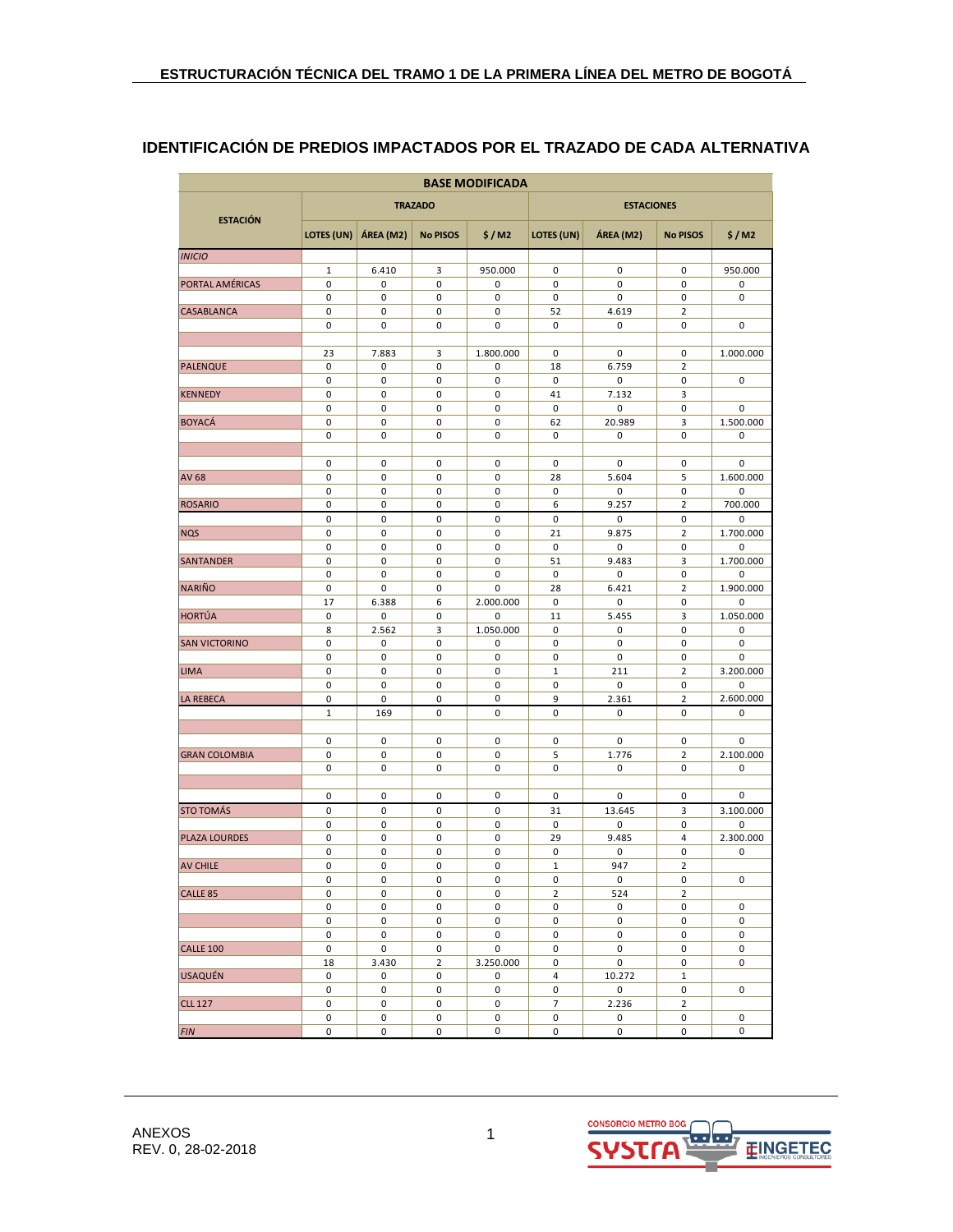# **IDENTIFICACIÓN DE PREDIOS IMPACTADOS POR EL TRAZADO DE CADA ALTERNATIVA**

| <b>BASE MODIFICADA</b> |                  |           |                 |           |                             |                   |                     |                |  |  |  |  |  |
|------------------------|------------------|-----------|-----------------|-----------|-----------------------------|-------------------|---------------------|----------------|--|--|--|--|--|
| <b>ESTACIÓN</b>        |                  |           | <b>TRAZADO</b>  |           |                             | <b>ESTACIONES</b> |                     |                |  |  |  |  |  |
|                        | LOTES (UN)       | ÁREA (M2) | <b>No PISOS</b> | \$/M2     | LOTES (UN)                  | ÁREA (M2)         | <b>No PISOS</b>     | \$/M2          |  |  |  |  |  |
| <b>INICIO</b>          |                  |           |                 |           |                             |                   |                     |                |  |  |  |  |  |
|                        | 1                | 6.410     | 3               | 950.000   | 0                           | 0                 | 0                   | 950.000        |  |  |  |  |  |
| PORTAL AMÉRICAS        | 0                | 0         | 0               | 0         | 0                           | 0                 | 0                   | 0              |  |  |  |  |  |
|                        | 0                | 0         | 0               | 0         | 0                           | 0                 | 0                   | 0              |  |  |  |  |  |
| <b>CASABLANCA</b>      | 0                | 0         | 0               | 0         | 52                          | 4.619             | $\overline{2}$      |                |  |  |  |  |  |
|                        | 0                | 0         | 0               | 0         | 0                           | 0                 | 0                   | 0              |  |  |  |  |  |
|                        | 23               | 7.883     | 3               | 1.800.000 | 0                           | 0                 | 0                   | 1.000.000      |  |  |  |  |  |
| <b>PALENQUE</b>        | 0                | 0         | 0               | 0         | 18                          | 6.759             | $\overline{2}$      |                |  |  |  |  |  |
|                        | 0                | 0         | 0               | 0         | $\pmb{0}$                   | 0                 | 0                   | 0              |  |  |  |  |  |
| <b>KENNEDY</b>         | 0                | 0         | 0               | 0         | 41                          | 7.132             | 3                   |                |  |  |  |  |  |
|                        | 0                | 0         | 0               | 0         | 0                           | 0                 | 0                   | 0              |  |  |  |  |  |
| <b>BOYACÁ</b>          | 0                | 0         | 0               | 0         | 62                          | 20.989            | 3                   | 1.500.000      |  |  |  |  |  |
|                        | 0                | 0         | 0               | 0         | $\pmb{0}$                   | 0                 | 0                   | 0              |  |  |  |  |  |
|                        |                  |           |                 |           |                             |                   |                     |                |  |  |  |  |  |
|                        | 0                | 0         | 0               | 0         | 0                           | 0                 | 0                   | 0              |  |  |  |  |  |
| <b>AV68</b>            | 0<br>0           | 0<br>0    | 0<br>0          | 0<br>0    | 28<br>0                     | 5.604<br>0        | 5<br>0              | 1.600.000<br>0 |  |  |  |  |  |
| <b>ROSARIO</b>         | 0                | 0         | 0               | 0         | 6                           | 9.257             | $\overline{2}$      | 700.000        |  |  |  |  |  |
|                        | 0                | 0         | 0               | 0         | 0                           | 0                 | 0                   | 0              |  |  |  |  |  |
| <b>NQS</b>             | 0                | 0         | 0               | 0         | 21                          | 9.875             | $\mathbf 2$         | 1.700.000      |  |  |  |  |  |
|                        | 0                | 0         | 0               | 0         | $\pmb{0}$                   | 0                 | 0                   | 0              |  |  |  |  |  |
| <b>SANTANDER</b>       | 0                | 0         | 0               | 0         | 51                          | 9.483             | 3                   | 1.700.000      |  |  |  |  |  |
|                        | 0                | 0         | 0               | 0         | 0                           | 0                 | 0                   | 0              |  |  |  |  |  |
| <b>NARIÑO</b>          | 0                | 0         | 0               | 0         | 28                          | 6.421             | $\overline{2}$      | 1.900.000      |  |  |  |  |  |
|                        | 17               | 6.388     | 6               | 2.000.000 | $\pmb{0}$                   | 0                 | 0                   | 0              |  |  |  |  |  |
| <b>HORTÚA</b>          | 0                | 0         | 0               | 0         | 11                          | 5.455             | 3                   | 1.050.000      |  |  |  |  |  |
|                        | 8                | 2.562     | 3               | 1.050.000 | $\mathbf 0$                 | 0                 | $\mathbf 0$         | 0              |  |  |  |  |  |
| <b>SAN VICTORINO</b>   | 0                | 0         | 0               | 0         | 0                           | 0                 | 0                   | 0              |  |  |  |  |  |
|                        | 0                | 0         | 0               | 0         | 0                           | 0                 | 0                   | 0              |  |  |  |  |  |
| <b>LIMA</b>            | 0                | 0         | 0               | 0         | $\mathbf{1}$                | 211               | $\overline{2}$      | 3.200.000      |  |  |  |  |  |
|                        | 0                | 0         | 0               | 0<br>0    | 0<br>9                      | 0                 | 0                   | 0<br>2.600.000 |  |  |  |  |  |
| <b>LA REBECA</b>       | 0<br>$\mathbf 1$ | 0         | 0<br>0          |           | 0                           | 2.361<br>0        | $\overline{2}$<br>0 |                |  |  |  |  |  |
|                        |                  | 169       |                 | 0         |                             |                   |                     | 0              |  |  |  |  |  |
|                        | 0                | 0         | 0               | 0         | 0                           | 0                 | 0                   | 0              |  |  |  |  |  |
| <b>GRAN COLOMBIA</b>   | 0                | 0         | 0               | 0         | 5                           | 1.776             | $\overline{2}$      | 2.100.000      |  |  |  |  |  |
|                        | 0                | 0         | 0               | 0         | $\pmb{0}$                   | 0                 | 0                   | 0              |  |  |  |  |  |
|                        |                  |           |                 |           |                             |                   |                     |                |  |  |  |  |  |
|                        | 0                | 0         | 0               | 0         | $\mathbf 0$                 | 0                 | $\pmb{0}$           | 0              |  |  |  |  |  |
| <b>STO TOMÁS</b>       | 0                | 0         | 0               | 0         | 31                          | 13.645            | 3                   | 3.100.000      |  |  |  |  |  |
|                        | 0                | 0         | 0               | 0         | $\pmb{0}$                   | 0                 | 0                   | 0              |  |  |  |  |  |
| <b>PLAZA LOURDES</b>   | 0                | 0         | 0               | 0         | 29                          | 9.485             | 4                   | 2.300.000      |  |  |  |  |  |
|                        | 0                | 0         | 0               | 0         | $\pmb{0}$                   | 0                 | 0                   | 0              |  |  |  |  |  |
| <b>AV CHILE</b>        | 0                | 0         | 0               | 0         | $\mathbf 1$                 | 947               | $\overline{2}$      |                |  |  |  |  |  |
|                        | 0                | 0         | 0               | 0         | 0                           | $\pmb{0}$         | 0                   | 0              |  |  |  |  |  |
| CALLE <sub>85</sub>    | 0<br>0           | 0<br>0    | 0<br>0          | 0<br>0    | $\overline{2}$<br>$\pmb{0}$ | 524<br>0          | $\overline{2}$<br>0 | 0              |  |  |  |  |  |
|                        | 0                | 0         | 0               | 0         | 0                           | 0                 | 0                   | 0              |  |  |  |  |  |
|                        | 0                | 0         | 0               | 0         | $\pmb{0}$                   | 0                 | $\pmb{0}$           | 0              |  |  |  |  |  |
| <b>CALLE 100</b>       | 0                | 0         | 0               | 0         | $\pmb{0}$                   | 0                 | 0                   | 0              |  |  |  |  |  |
|                        | 18               | 3.430     | $\overline{2}$  | 3.250.000 | 0                           | 0                 | 0                   | 0              |  |  |  |  |  |
| <b>USAQUÉN</b>         | 0                | 0         | 0               | 0         | $\sqrt{4}$                  | 10.272            | $\mathbf 1$         |                |  |  |  |  |  |
|                        | 0                | 0         | 0               | 0         | $\pmb{0}$                   | 0                 | 0                   | 0              |  |  |  |  |  |
| <b>CLL 127</b>         | 0                | 0         | 0               | 0         | $\overline{7}$              | 2.236             | $\overline{2}$      |                |  |  |  |  |  |
|                        | 0                | 0         | 0               | 0         | $\pmb{0}$                   | 0                 | 0                   | 0              |  |  |  |  |  |
| <b>FIN</b>             | 0                | 0         | 0               | 0         | 0                           | 0                 | 0                   | 0              |  |  |  |  |  |

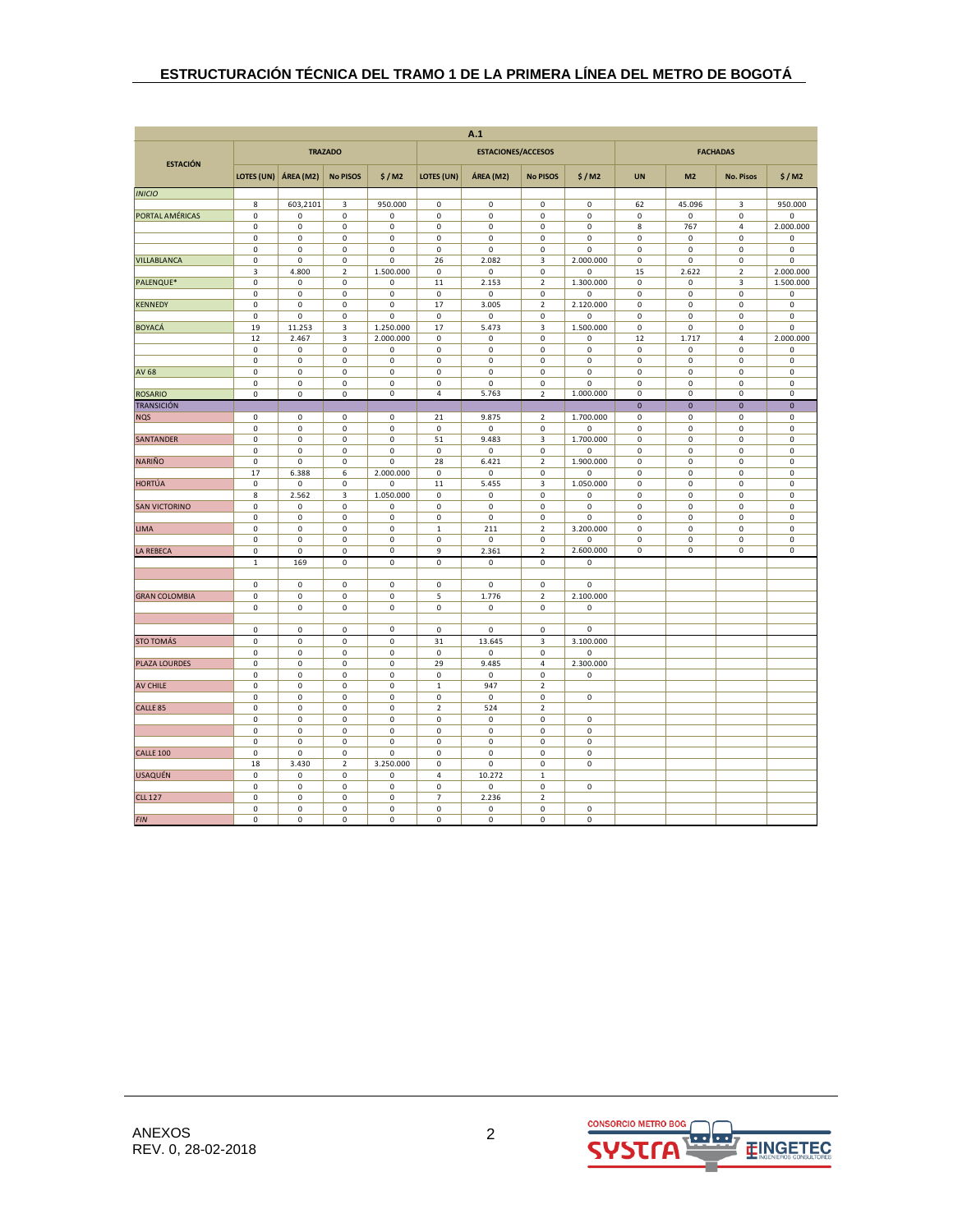| <b>ESTACIONES/ACCESOS</b><br><b>FACHADAS</b><br><b>TRAZADO</b><br><b>ESTACIÓN</b><br>LOTES (UN)<br>ÁREA (M2)<br><b>No PISOS</b><br>LOTES (UN)<br>\$/M2<br>ÁREA (M2)<br><b>No PISOS</b><br>\$/M2<br><b>UN</b><br>M <sub>2</sub><br><b>No. Pisos</b><br>\$/M2<br><b>INICIO</b><br>950.000<br>8<br>603,2101<br>3<br>$\pmb{0}$<br>$\mathsf 0$<br>0<br>0<br>62<br>45.096<br>3<br>950.000<br>0<br>$\mathbf 0$<br>0<br>0<br>PORTAL AMÉRICAS<br>0<br>0<br>0<br>$\mathsf 0$<br>0<br>0<br>$\pmb{0}$<br>$\mathbf 0$<br>$\mathbf 0$<br>$\mathsf 0$<br>0<br>$\mathbf 0$<br>0<br>$\mathbf 0$<br>0<br>$\mathbf 0$<br>8<br>767<br>$\overline{4}$<br>2.000.000<br>$\pmb{0}$<br>$\mathsf 0$<br>0<br>$\mathsf{O}\xspace$<br>$\pmb{0}$<br>$\pmb{0}$<br>0<br>0<br>0<br>0<br>$\pmb{0}$<br>0<br>0<br>$\mathsf 0$<br>0<br>$\mathbf 0$<br>0<br>$\mathsf 0$<br>0<br>0<br>0<br>0<br>$\pmb{0}$<br>0<br>$\pmb{0}$<br>2.082<br>0<br>0<br>26<br>3<br>2.000.000<br>VILLABLANCA<br>0<br>0<br>0<br>0<br>0<br>3<br>4.800<br>$\mathbf 2$<br>1.500.000<br>$\pmb{0}$<br>$\pmb{0}$<br>0<br>$\mathbf 2$<br>2.000.000<br>0<br>15<br>2.622<br>PALENQUE*<br>$\pmb{0}$<br>11<br>2.153<br>1.300.000<br>1.500.000<br>$\mathsf 0$<br>0<br>$\mathsf 0$<br>$\mathbf 2$<br>0<br>0<br>3<br>0<br>$\mathsf 0$<br>0<br>$\mathsf 0$<br>$\pmb{0}$<br>$\mathsf 0$<br>0<br>0<br>0<br>0<br>$\pmb{0}$<br>0<br>$\pmb{0}$<br>0<br>0<br>$\mathsf 0$<br>17<br>3.005<br>$\mathbf 2$<br>2.120.000<br>0<br>0<br>$\pmb{0}$<br>0<br><b>KENNEDY</b><br>$\mathbf 0$<br>0<br>0<br>0<br>0<br>$\mathsf 0$<br>$\mathbf 0$<br>$\mathbf 0$<br>0<br>0<br>0<br>$\mathbf 0$<br><b>BOYACÁ</b><br>19<br>11.253<br>3<br>1.250.000<br>17<br>5.473<br>3<br>1.500.000<br>0<br>$\mathbf 0$<br>$\mathbf 0$<br>0<br>12<br>2.000.000<br>0<br>2.000.000<br>2.467<br>3<br>0<br>$\mathsf 0$<br>0<br>12<br>1.717<br>4<br>$\mathsf 0$<br>$\mathbf 0$<br>$\mathsf{O}\xspace$<br>$\mathsf 0$<br>$\mathsf 0$<br>0<br>$\mathsf 0$<br>$\mathsf 0$<br>0<br>0<br>$\pmb{0}$<br>$\mathsf 0$<br>$\mathbf{0}$<br>0<br>$\pmb{0}$<br>$\mathsf 0$<br>$\mathbf 0$<br>$\mathbf 0$<br>$\pmb{0}$<br>$\pmb{0}$<br>$\pmb{0}$<br>$\pmb{0}$<br>$\pmb{0}$<br>0<br><b>AV 68</b><br>0<br>$\mathsf 0$<br>0<br>$\mathsf 0$<br>0<br>$\mathsf 0$<br>0<br>0<br>0<br>0<br>$\pmb{0}$<br>$\mathsf 0$<br>0<br>$\mathsf 0$<br>0<br>$\mathsf 0$<br>0<br>$\mathsf 0$<br>0<br>0<br>0<br>$\pmb{0}$<br>$\mathsf 0$<br>0<br>$\pmb{0}$<br>5.763<br>$\pmb{0}$<br>$\pmb{0}$<br>$\pmb{0}$<br>4<br>$\mathbf 2$<br>1.000.000<br>0<br><b>ROSARIO</b><br>0<br>$\pmb{0}$<br>0<br>$\mathbf{0}$<br>$\mathbf 0$<br><b>TRANSICIÓN</b><br>$\mathbf 0$<br>$\pmb{0}$<br>$\pmb{0}$<br>$\pmb{0}$<br>$\mathsf 0$<br>$\mathsf 0$<br>21<br>9.875<br>$\overline{\mathbf{2}}$<br>1.700.000<br>0<br>$\pmb{0}$<br>$\pmb{0}$<br>$\pmb{0}$<br><b>NQS</b><br>$\mathbf 0$<br>$\mathsf 0$<br>0<br>$\mathbf 0$<br>$\pmb{0}$<br>$\mathsf 0$<br>0<br>0<br>0<br>0<br>$\pmb{0}$<br>$\mathsf 0$<br>9.483<br><b>SANTANDER</b><br>0<br>0<br>0<br>$\mathsf 0$<br>51<br>3<br>1.700.000<br>0<br>0<br>$\pmb{0}$<br>$\pmb{0}$<br>0<br>$\mathsf{o}\,$<br>0<br>0<br>$\mathsf 0$<br>$\pmb{0}$<br>0<br>0<br>$\mathsf 0$<br>0<br>0<br>$\pmb{0}$<br>6.421<br><b>NARIÑO</b><br>$\mathbf 0$<br>$\mathsf 0$<br>$\mathsf{O}\xspace$<br>28<br>$\mathbf 2$<br>1.900.000<br>0<br>$\pmb{0}$<br>0<br>0<br>$\pmb{0}$<br>17<br>6.388<br>6<br>2.000.000<br>$\pmb{0}$<br>$\pmb{0}$<br>$\pmb{0}$<br>$\pmb{0}$<br>$\mathbf 0$<br>$\mathbf 0$<br>$\pmb{0}$<br>$\pmb{0}$<br><b>HORTÚA</b><br>0<br>$\mathsf 0$<br>$\mathsf 0$<br>11<br>5.455<br>3<br>1.050.000<br>0<br>$\pmb{0}$<br>0<br>0<br>0<br>8<br>2.562<br>1.050.000<br>0<br>$\mathsf 0$<br>3<br>0<br>0<br>0<br>0<br>0<br>0<br>$\mathbf 0$<br>0<br>$\mathbf 0$<br>$\pmb{0}$<br>$\pmb{0}$<br><b>SAN VICTORINO</b><br>0<br>0<br>0<br>0<br>$\mathsf 0$<br>0<br>0<br>$\pmb{0}$<br>$\mathsf 0$<br>$\mathsf 0$<br>0<br>$\mathbf 0$<br>0<br>$\mathbf 0$<br>$\pmb{0}$<br>0<br>0<br>0<br>$\pmb{0}$<br>211<br>3.200.000<br><b>LIMA</b><br>0<br>$\mathsf 0$<br>0<br>$\mathsf 0$<br>$\,1\,$<br>$\overline{2}$<br>0<br>0<br>$\pmb{0}$<br>$\mathsf 0$<br>$\mathbf 0$<br>0<br>0<br>0<br>$\mathbf 0$<br>0<br>0<br>$\mathsf 0$<br>$\mathsf 0$<br>0<br>0<br>$\mathbf 0$<br>$\mathsf{O}\xspace$<br>2.600.000<br>0<br>0<br>$\mathsf 0$<br>$\mathsf 0$<br>LA REBECA<br>$\mathsf 0$<br>$\mathsf 0$<br>0<br>9<br>2.361<br>$\overline{2}$<br>$\mathbf{1}$<br>169<br>0<br>$\mathsf{O}\xspace$<br>$\pmb{0}$<br>$\mathsf 0$<br>$\mathsf 0$<br>0<br>$\mathbf 0$<br>$\mathbf 0$<br>$\mathbf 0$<br>$\mathbf 0$<br>$\mathbf 0$<br>$\mathbf 0$<br>$\mathbf 0$<br>$\mathbf{0}$<br><b>GRAN COLOMBIA</b><br>0<br>0<br>$\mathbf 0$<br>5<br>$\mathbf 2$<br>2.100.000<br>0<br>1.776<br>$\pmb{0}$<br>0<br>0<br>$\mathsf 0$<br>$\pmb{0}$<br>0<br>0<br>0<br>$\mathsf 0$<br>$\pmb{0}$<br>$\mathsf 0$<br>$\mathsf 0$<br>$\pmb{0}$<br>0<br>$\mathsf 0$<br>0<br>$\pmb{0}$<br>$\mathsf 0$<br>$\mathbf 0$<br>$\mathsf{O}\xspace$<br>31<br>13.645<br>3<br>3.100.000<br><b>STO TOMÁS</b><br>0<br>0<br>0<br>$\mathsf 0$<br>0<br>$\mathsf 0$<br>0<br>0<br><b>PLAZA LOURDES</b><br>$\pmb{0}$<br>$\mathbf 0$<br>$\mathsf 0$<br>29<br>9.485<br>2.300.000<br>0<br>4<br>$\mathbf 0$<br>$\mathsf 0$<br>0<br>$\mathsf 0$<br>$\pmb{0}$<br>$\mathsf 0$<br>0<br>0<br><b>AV CHILE</b><br>$\mathbf 0$<br>$\mathsf 0$<br>$\mathbf 0$<br>$\mathbf 0$<br>$\,1\,$<br>947<br>$\overline{2}$<br>$\mathbf 0$<br>$\pmb{0}$<br>$\mathsf 0$<br>0<br>$\mathsf 0$<br>$\mathsf 0$<br>0<br>0<br>$\mathbf 2$<br>CALLE <sub>85</sub><br>$\pmb{0}$<br>$\pmb{0}$<br>0<br>$\pmb{0}$<br>524<br>$\mathbf 2$<br>$\pmb{0}$<br>$\pmb{0}$<br>$\mathbf 0$<br>0<br>$\mathsf 0$<br>$\mathbf 0$<br>0<br>0<br>0<br>$\mathsf 0$<br>0<br>$\mathsf 0$<br>0<br>$\mathbf 0$<br>0<br>0<br>$\pmb{0}$<br>$\mathsf 0$<br>0<br>$\mathsf 0$<br>0<br>$\mathsf 0$<br>0<br>0<br>0<br>$\mathsf 0$<br>0<br>0<br>0<br>$\mathbf 0$<br>0<br><b>CALLE 100</b><br>0<br>18<br>3.430<br>$\mathbf 2$<br>3.250.000<br>$\pmb{0}$<br>$\pmb{0}$<br>0<br>0<br><b>USAQUÉN</b><br>$\mathbf 0$<br>$\mathsf 0$<br>$\mathsf{O}\xspace$<br>4<br>10.272<br>0<br>$\,1\,$<br>0<br>$\mathsf 0$<br>0<br>$\mathsf 0$<br>0<br>$\mathsf 0$<br>0<br>0<br>$\overline{7}$<br>0<br>0<br>$\mathsf 0$<br>2.236<br>$\mathbf 2$<br><b>CLL 127</b><br>0<br>$\mathbf 0$<br>0<br>$\mathbf 0$<br>$\mathsf 0$<br>0<br>$\mathsf 0$<br>0<br>$\mathbf 0$<br><b>FIN</b><br>$\mathbf 0$<br>$\mathbf 0$<br>$\mathbf 0$<br>$\mathbf 0$<br>$\mathbf 0$<br>$\mathbf 0$<br>$\mathbf{0}$<br>$\mathbf 0$ | A.1 |  |  |  |  |  |  |  |  |  |  |  |  |
|------------------------------------------------------------------------------------------------------------------------------------------------------------------------------------------------------------------------------------------------------------------------------------------------------------------------------------------------------------------------------------------------------------------------------------------------------------------------------------------------------------------------------------------------------------------------------------------------------------------------------------------------------------------------------------------------------------------------------------------------------------------------------------------------------------------------------------------------------------------------------------------------------------------------------------------------------------------------------------------------------------------------------------------------------------------------------------------------------------------------------------------------------------------------------------------------------------------------------------------------------------------------------------------------------------------------------------------------------------------------------------------------------------------------------------------------------------------------------------------------------------------------------------------------------------------------------------------------------------------------------------------------------------------------------------------------------------------------------------------------------------------------------------------------------------------------------------------------------------------------------------------------------------------------------------------------------------------------------------------------------------------------------------------------------------------------------------------------------------------------------------------------------------------------------------------------------------------------------------------------------------------------------------------------------------------------------------------------------------------------------------------------------------------------------------------------------------------------------------------------------------------------------------------------------------------------------------------------------------------------------------------------------------------------------------------------------------------------------------------------------------------------------------------------------------------------------------------------------------------------------------------------------------------------------------------------------------------------------------------------------------------------------------------------------------------------------------------------------------------------------------------------------------------------------------------------------------------------------------------------------------------------------------------------------------------------------------------------------------------------------------------------------------------------------------------------------------------------------------------------------------------------------------------------------------------------------------------------------------------------------------------------------------------------------------------------------------------------------------------------------------------------------------------------------------------------------------------------------------------------------------------------------------------------------------------------------------------------------------------------------------------------------------------------------------------------------------------------------------------------------------------------------------------------------------------------------------------------------------------------------------------------------------------------------------------------------------------------------------------------------------------------------------------------------------------------------------------------------------------------------------------------------------------------------------------------------------------------------------------------------------------------------------------------------------------------------------------------------------------------------------------------------------------------------------------------------------------------------------------------------------------------------------------------------------------------------------------------------------------------------------------------------------------------------------------------------------------------------------------------------------------------------------------------------------------------------------------------------------------------------------------------------------------------------------------------------------------------------------------------------------------------------------------------------------------------------------------------------------------------------------------------------------------------------------------------------------------------------------------------------------------------------------------------------------------------------------------------------------------------------------------------------------------------------------------------------------------------------------------------------------------------------------------------------------------------------------------------------------------------------------------------------------------------------------------------------------------------------------------------------------------------------------------------------------------------------------------------------------------------------------------------------------------------------------------------------------------------------------------------------------------------------------------------------------------------------------------------------------|-----|--|--|--|--|--|--|--|--|--|--|--|--|
|                                                                                                                                                                                                                                                                                                                                                                                                                                                                                                                                                                                                                                                                                                                                                                                                                                                                                                                                                                                                                                                                                                                                                                                                                                                                                                                                                                                                                                                                                                                                                                                                                                                                                                                                                                                                                                                                                                                                                                                                                                                                                                                                                                                                                                                                                                                                                                                                                                                                                                                                                                                                                                                                                                                                                                                                                                                                                                                                                                                                                                                                                                                                                                                                                                                                                                                                                                                                                                                                                                                                                                                                                                                                                                                                                                                                                                                                                                                                                                                                                                                                                                                                                                                                                                                                                                                                                                                                                                                                                                                                                                                                                                                                                                                                                                                                                                                                                                                                                                                                                                                                                                                                                                                                                                                                                                                                                                                                                                                                                                                                                                                                                                                                                                                                                                                                                                                                                                                                                                                                                                                                                                                                                                                                                                                                                                                                                                                                                                                                                    |     |  |  |  |  |  |  |  |  |  |  |  |  |
|                                                                                                                                                                                                                                                                                                                                                                                                                                                                                                                                                                                                                                                                                                                                                                                                                                                                                                                                                                                                                                                                                                                                                                                                                                                                                                                                                                                                                                                                                                                                                                                                                                                                                                                                                                                                                                                                                                                                                                                                                                                                                                                                                                                                                                                                                                                                                                                                                                                                                                                                                                                                                                                                                                                                                                                                                                                                                                                                                                                                                                                                                                                                                                                                                                                                                                                                                                                                                                                                                                                                                                                                                                                                                                                                                                                                                                                                                                                                                                                                                                                                                                                                                                                                                                                                                                                                                                                                                                                                                                                                                                                                                                                                                                                                                                                                                                                                                                                                                                                                                                                                                                                                                                                                                                                                                                                                                                                                                                                                                                                                                                                                                                                                                                                                                                                                                                                                                                                                                                                                                                                                                                                                                                                                                                                                                                                                                                                                                                                                                    |     |  |  |  |  |  |  |  |  |  |  |  |  |
|                                                                                                                                                                                                                                                                                                                                                                                                                                                                                                                                                                                                                                                                                                                                                                                                                                                                                                                                                                                                                                                                                                                                                                                                                                                                                                                                                                                                                                                                                                                                                                                                                                                                                                                                                                                                                                                                                                                                                                                                                                                                                                                                                                                                                                                                                                                                                                                                                                                                                                                                                                                                                                                                                                                                                                                                                                                                                                                                                                                                                                                                                                                                                                                                                                                                                                                                                                                                                                                                                                                                                                                                                                                                                                                                                                                                                                                                                                                                                                                                                                                                                                                                                                                                                                                                                                                                                                                                                                                                                                                                                                                                                                                                                                                                                                                                                                                                                                                                                                                                                                                                                                                                                                                                                                                                                                                                                                                                                                                                                                                                                                                                                                                                                                                                                                                                                                                                                                                                                                                                                                                                                                                                                                                                                                                                                                                                                                                                                                                                                    |     |  |  |  |  |  |  |  |  |  |  |  |  |
|                                                                                                                                                                                                                                                                                                                                                                                                                                                                                                                                                                                                                                                                                                                                                                                                                                                                                                                                                                                                                                                                                                                                                                                                                                                                                                                                                                                                                                                                                                                                                                                                                                                                                                                                                                                                                                                                                                                                                                                                                                                                                                                                                                                                                                                                                                                                                                                                                                                                                                                                                                                                                                                                                                                                                                                                                                                                                                                                                                                                                                                                                                                                                                                                                                                                                                                                                                                                                                                                                                                                                                                                                                                                                                                                                                                                                                                                                                                                                                                                                                                                                                                                                                                                                                                                                                                                                                                                                                                                                                                                                                                                                                                                                                                                                                                                                                                                                                                                                                                                                                                                                                                                                                                                                                                                                                                                                                                                                                                                                                                                                                                                                                                                                                                                                                                                                                                                                                                                                                                                                                                                                                                                                                                                                                                                                                                                                                                                                                                                                    |     |  |  |  |  |  |  |  |  |  |  |  |  |
|                                                                                                                                                                                                                                                                                                                                                                                                                                                                                                                                                                                                                                                                                                                                                                                                                                                                                                                                                                                                                                                                                                                                                                                                                                                                                                                                                                                                                                                                                                                                                                                                                                                                                                                                                                                                                                                                                                                                                                                                                                                                                                                                                                                                                                                                                                                                                                                                                                                                                                                                                                                                                                                                                                                                                                                                                                                                                                                                                                                                                                                                                                                                                                                                                                                                                                                                                                                                                                                                                                                                                                                                                                                                                                                                                                                                                                                                                                                                                                                                                                                                                                                                                                                                                                                                                                                                                                                                                                                                                                                                                                                                                                                                                                                                                                                                                                                                                                                                                                                                                                                                                                                                                                                                                                                                                                                                                                                                                                                                                                                                                                                                                                                                                                                                                                                                                                                                                                                                                                                                                                                                                                                                                                                                                                                                                                                                                                                                                                                                                    |     |  |  |  |  |  |  |  |  |  |  |  |  |
|                                                                                                                                                                                                                                                                                                                                                                                                                                                                                                                                                                                                                                                                                                                                                                                                                                                                                                                                                                                                                                                                                                                                                                                                                                                                                                                                                                                                                                                                                                                                                                                                                                                                                                                                                                                                                                                                                                                                                                                                                                                                                                                                                                                                                                                                                                                                                                                                                                                                                                                                                                                                                                                                                                                                                                                                                                                                                                                                                                                                                                                                                                                                                                                                                                                                                                                                                                                                                                                                                                                                                                                                                                                                                                                                                                                                                                                                                                                                                                                                                                                                                                                                                                                                                                                                                                                                                                                                                                                                                                                                                                                                                                                                                                                                                                                                                                                                                                                                                                                                                                                                                                                                                                                                                                                                                                                                                                                                                                                                                                                                                                                                                                                                                                                                                                                                                                                                                                                                                                                                                                                                                                                                                                                                                                                                                                                                                                                                                                                                                    |     |  |  |  |  |  |  |  |  |  |  |  |  |
|                                                                                                                                                                                                                                                                                                                                                                                                                                                                                                                                                                                                                                                                                                                                                                                                                                                                                                                                                                                                                                                                                                                                                                                                                                                                                                                                                                                                                                                                                                                                                                                                                                                                                                                                                                                                                                                                                                                                                                                                                                                                                                                                                                                                                                                                                                                                                                                                                                                                                                                                                                                                                                                                                                                                                                                                                                                                                                                                                                                                                                                                                                                                                                                                                                                                                                                                                                                                                                                                                                                                                                                                                                                                                                                                                                                                                                                                                                                                                                                                                                                                                                                                                                                                                                                                                                                                                                                                                                                                                                                                                                                                                                                                                                                                                                                                                                                                                                                                                                                                                                                                                                                                                                                                                                                                                                                                                                                                                                                                                                                                                                                                                                                                                                                                                                                                                                                                                                                                                                                                                                                                                                                                                                                                                                                                                                                                                                                                                                                                                    |     |  |  |  |  |  |  |  |  |  |  |  |  |
|                                                                                                                                                                                                                                                                                                                                                                                                                                                                                                                                                                                                                                                                                                                                                                                                                                                                                                                                                                                                                                                                                                                                                                                                                                                                                                                                                                                                                                                                                                                                                                                                                                                                                                                                                                                                                                                                                                                                                                                                                                                                                                                                                                                                                                                                                                                                                                                                                                                                                                                                                                                                                                                                                                                                                                                                                                                                                                                                                                                                                                                                                                                                                                                                                                                                                                                                                                                                                                                                                                                                                                                                                                                                                                                                                                                                                                                                                                                                                                                                                                                                                                                                                                                                                                                                                                                                                                                                                                                                                                                                                                                                                                                                                                                                                                                                                                                                                                                                                                                                                                                                                                                                                                                                                                                                                                                                                                                                                                                                                                                                                                                                                                                                                                                                                                                                                                                                                                                                                                                                                                                                                                                                                                                                                                                                                                                                                                                                                                                                                    |     |  |  |  |  |  |  |  |  |  |  |  |  |
|                                                                                                                                                                                                                                                                                                                                                                                                                                                                                                                                                                                                                                                                                                                                                                                                                                                                                                                                                                                                                                                                                                                                                                                                                                                                                                                                                                                                                                                                                                                                                                                                                                                                                                                                                                                                                                                                                                                                                                                                                                                                                                                                                                                                                                                                                                                                                                                                                                                                                                                                                                                                                                                                                                                                                                                                                                                                                                                                                                                                                                                                                                                                                                                                                                                                                                                                                                                                                                                                                                                                                                                                                                                                                                                                                                                                                                                                                                                                                                                                                                                                                                                                                                                                                                                                                                                                                                                                                                                                                                                                                                                                                                                                                                                                                                                                                                                                                                                                                                                                                                                                                                                                                                                                                                                                                                                                                                                                                                                                                                                                                                                                                                                                                                                                                                                                                                                                                                                                                                                                                                                                                                                                                                                                                                                                                                                                                                                                                                                                                    |     |  |  |  |  |  |  |  |  |  |  |  |  |
|                                                                                                                                                                                                                                                                                                                                                                                                                                                                                                                                                                                                                                                                                                                                                                                                                                                                                                                                                                                                                                                                                                                                                                                                                                                                                                                                                                                                                                                                                                                                                                                                                                                                                                                                                                                                                                                                                                                                                                                                                                                                                                                                                                                                                                                                                                                                                                                                                                                                                                                                                                                                                                                                                                                                                                                                                                                                                                                                                                                                                                                                                                                                                                                                                                                                                                                                                                                                                                                                                                                                                                                                                                                                                                                                                                                                                                                                                                                                                                                                                                                                                                                                                                                                                                                                                                                                                                                                                                                                                                                                                                                                                                                                                                                                                                                                                                                                                                                                                                                                                                                                                                                                                                                                                                                                                                                                                                                                                                                                                                                                                                                                                                                                                                                                                                                                                                                                                                                                                                                                                                                                                                                                                                                                                                                                                                                                                                                                                                                                                    |     |  |  |  |  |  |  |  |  |  |  |  |  |
|                                                                                                                                                                                                                                                                                                                                                                                                                                                                                                                                                                                                                                                                                                                                                                                                                                                                                                                                                                                                                                                                                                                                                                                                                                                                                                                                                                                                                                                                                                                                                                                                                                                                                                                                                                                                                                                                                                                                                                                                                                                                                                                                                                                                                                                                                                                                                                                                                                                                                                                                                                                                                                                                                                                                                                                                                                                                                                                                                                                                                                                                                                                                                                                                                                                                                                                                                                                                                                                                                                                                                                                                                                                                                                                                                                                                                                                                                                                                                                                                                                                                                                                                                                                                                                                                                                                                                                                                                                                                                                                                                                                                                                                                                                                                                                                                                                                                                                                                                                                                                                                                                                                                                                                                                                                                                                                                                                                                                                                                                                                                                                                                                                                                                                                                                                                                                                                                                                                                                                                                                                                                                                                                                                                                                                                                                                                                                                                                                                                                                    |     |  |  |  |  |  |  |  |  |  |  |  |  |
|                                                                                                                                                                                                                                                                                                                                                                                                                                                                                                                                                                                                                                                                                                                                                                                                                                                                                                                                                                                                                                                                                                                                                                                                                                                                                                                                                                                                                                                                                                                                                                                                                                                                                                                                                                                                                                                                                                                                                                                                                                                                                                                                                                                                                                                                                                                                                                                                                                                                                                                                                                                                                                                                                                                                                                                                                                                                                                                                                                                                                                                                                                                                                                                                                                                                                                                                                                                                                                                                                                                                                                                                                                                                                                                                                                                                                                                                                                                                                                                                                                                                                                                                                                                                                                                                                                                                                                                                                                                                                                                                                                                                                                                                                                                                                                                                                                                                                                                                                                                                                                                                                                                                                                                                                                                                                                                                                                                                                                                                                                                                                                                                                                                                                                                                                                                                                                                                                                                                                                                                                                                                                                                                                                                                                                                                                                                                                                                                                                                                                    |     |  |  |  |  |  |  |  |  |  |  |  |  |
|                                                                                                                                                                                                                                                                                                                                                                                                                                                                                                                                                                                                                                                                                                                                                                                                                                                                                                                                                                                                                                                                                                                                                                                                                                                                                                                                                                                                                                                                                                                                                                                                                                                                                                                                                                                                                                                                                                                                                                                                                                                                                                                                                                                                                                                                                                                                                                                                                                                                                                                                                                                                                                                                                                                                                                                                                                                                                                                                                                                                                                                                                                                                                                                                                                                                                                                                                                                                                                                                                                                                                                                                                                                                                                                                                                                                                                                                                                                                                                                                                                                                                                                                                                                                                                                                                                                                                                                                                                                                                                                                                                                                                                                                                                                                                                                                                                                                                                                                                                                                                                                                                                                                                                                                                                                                                                                                                                                                                                                                                                                                                                                                                                                                                                                                                                                                                                                                                                                                                                                                                                                                                                                                                                                                                                                                                                                                                                                                                                                                                    |     |  |  |  |  |  |  |  |  |  |  |  |  |
|                                                                                                                                                                                                                                                                                                                                                                                                                                                                                                                                                                                                                                                                                                                                                                                                                                                                                                                                                                                                                                                                                                                                                                                                                                                                                                                                                                                                                                                                                                                                                                                                                                                                                                                                                                                                                                                                                                                                                                                                                                                                                                                                                                                                                                                                                                                                                                                                                                                                                                                                                                                                                                                                                                                                                                                                                                                                                                                                                                                                                                                                                                                                                                                                                                                                                                                                                                                                                                                                                                                                                                                                                                                                                                                                                                                                                                                                                                                                                                                                                                                                                                                                                                                                                                                                                                                                                                                                                                                                                                                                                                                                                                                                                                                                                                                                                                                                                                                                                                                                                                                                                                                                                                                                                                                                                                                                                                                                                                                                                                                                                                                                                                                                                                                                                                                                                                                                                                                                                                                                                                                                                                                                                                                                                                                                                                                                                                                                                                                                                    |     |  |  |  |  |  |  |  |  |  |  |  |  |
|                                                                                                                                                                                                                                                                                                                                                                                                                                                                                                                                                                                                                                                                                                                                                                                                                                                                                                                                                                                                                                                                                                                                                                                                                                                                                                                                                                                                                                                                                                                                                                                                                                                                                                                                                                                                                                                                                                                                                                                                                                                                                                                                                                                                                                                                                                                                                                                                                                                                                                                                                                                                                                                                                                                                                                                                                                                                                                                                                                                                                                                                                                                                                                                                                                                                                                                                                                                                                                                                                                                                                                                                                                                                                                                                                                                                                                                                                                                                                                                                                                                                                                                                                                                                                                                                                                                                                                                                                                                                                                                                                                                                                                                                                                                                                                                                                                                                                                                                                                                                                                                                                                                                                                                                                                                                                                                                                                                                                                                                                                                                                                                                                                                                                                                                                                                                                                                                                                                                                                                                                                                                                                                                                                                                                                                                                                                                                                                                                                                                                    |     |  |  |  |  |  |  |  |  |  |  |  |  |
|                                                                                                                                                                                                                                                                                                                                                                                                                                                                                                                                                                                                                                                                                                                                                                                                                                                                                                                                                                                                                                                                                                                                                                                                                                                                                                                                                                                                                                                                                                                                                                                                                                                                                                                                                                                                                                                                                                                                                                                                                                                                                                                                                                                                                                                                                                                                                                                                                                                                                                                                                                                                                                                                                                                                                                                                                                                                                                                                                                                                                                                                                                                                                                                                                                                                                                                                                                                                                                                                                                                                                                                                                                                                                                                                                                                                                                                                                                                                                                                                                                                                                                                                                                                                                                                                                                                                                                                                                                                                                                                                                                                                                                                                                                                                                                                                                                                                                                                                                                                                                                                                                                                                                                                                                                                                                                                                                                                                                                                                                                                                                                                                                                                                                                                                                                                                                                                                                                                                                                                                                                                                                                                                                                                                                                                                                                                                                                                                                                                                                    |     |  |  |  |  |  |  |  |  |  |  |  |  |
|                                                                                                                                                                                                                                                                                                                                                                                                                                                                                                                                                                                                                                                                                                                                                                                                                                                                                                                                                                                                                                                                                                                                                                                                                                                                                                                                                                                                                                                                                                                                                                                                                                                                                                                                                                                                                                                                                                                                                                                                                                                                                                                                                                                                                                                                                                                                                                                                                                                                                                                                                                                                                                                                                                                                                                                                                                                                                                                                                                                                                                                                                                                                                                                                                                                                                                                                                                                                                                                                                                                                                                                                                                                                                                                                                                                                                                                                                                                                                                                                                                                                                                                                                                                                                                                                                                                                                                                                                                                                                                                                                                                                                                                                                                                                                                                                                                                                                                                                                                                                                                                                                                                                                                                                                                                                                                                                                                                                                                                                                                                                                                                                                                                                                                                                                                                                                                                                                                                                                                                                                                                                                                                                                                                                                                                                                                                                                                                                                                                                                    |     |  |  |  |  |  |  |  |  |  |  |  |  |
|                                                                                                                                                                                                                                                                                                                                                                                                                                                                                                                                                                                                                                                                                                                                                                                                                                                                                                                                                                                                                                                                                                                                                                                                                                                                                                                                                                                                                                                                                                                                                                                                                                                                                                                                                                                                                                                                                                                                                                                                                                                                                                                                                                                                                                                                                                                                                                                                                                                                                                                                                                                                                                                                                                                                                                                                                                                                                                                                                                                                                                                                                                                                                                                                                                                                                                                                                                                                                                                                                                                                                                                                                                                                                                                                                                                                                                                                                                                                                                                                                                                                                                                                                                                                                                                                                                                                                                                                                                                                                                                                                                                                                                                                                                                                                                                                                                                                                                                                                                                                                                                                                                                                                                                                                                                                                                                                                                                                                                                                                                                                                                                                                                                                                                                                                                                                                                                                                                                                                                                                                                                                                                                                                                                                                                                                                                                                                                                                                                                                                    |     |  |  |  |  |  |  |  |  |  |  |  |  |
|                                                                                                                                                                                                                                                                                                                                                                                                                                                                                                                                                                                                                                                                                                                                                                                                                                                                                                                                                                                                                                                                                                                                                                                                                                                                                                                                                                                                                                                                                                                                                                                                                                                                                                                                                                                                                                                                                                                                                                                                                                                                                                                                                                                                                                                                                                                                                                                                                                                                                                                                                                                                                                                                                                                                                                                                                                                                                                                                                                                                                                                                                                                                                                                                                                                                                                                                                                                                                                                                                                                                                                                                                                                                                                                                                                                                                                                                                                                                                                                                                                                                                                                                                                                                                                                                                                                                                                                                                                                                                                                                                                                                                                                                                                                                                                                                                                                                                                                                                                                                                                                                                                                                                                                                                                                                                                                                                                                                                                                                                                                                                                                                                                                                                                                                                                                                                                                                                                                                                                                                                                                                                                                                                                                                                                                                                                                                                                                                                                                                                    |     |  |  |  |  |  |  |  |  |  |  |  |  |
|                                                                                                                                                                                                                                                                                                                                                                                                                                                                                                                                                                                                                                                                                                                                                                                                                                                                                                                                                                                                                                                                                                                                                                                                                                                                                                                                                                                                                                                                                                                                                                                                                                                                                                                                                                                                                                                                                                                                                                                                                                                                                                                                                                                                                                                                                                                                                                                                                                                                                                                                                                                                                                                                                                                                                                                                                                                                                                                                                                                                                                                                                                                                                                                                                                                                                                                                                                                                                                                                                                                                                                                                                                                                                                                                                                                                                                                                                                                                                                                                                                                                                                                                                                                                                                                                                                                                                                                                                                                                                                                                                                                                                                                                                                                                                                                                                                                                                                                                                                                                                                                                                                                                                                                                                                                                                                                                                                                                                                                                                                                                                                                                                                                                                                                                                                                                                                                                                                                                                                                                                                                                                                                                                                                                                                                                                                                                                                                                                                                                                    |     |  |  |  |  |  |  |  |  |  |  |  |  |
|                                                                                                                                                                                                                                                                                                                                                                                                                                                                                                                                                                                                                                                                                                                                                                                                                                                                                                                                                                                                                                                                                                                                                                                                                                                                                                                                                                                                                                                                                                                                                                                                                                                                                                                                                                                                                                                                                                                                                                                                                                                                                                                                                                                                                                                                                                                                                                                                                                                                                                                                                                                                                                                                                                                                                                                                                                                                                                                                                                                                                                                                                                                                                                                                                                                                                                                                                                                                                                                                                                                                                                                                                                                                                                                                                                                                                                                                                                                                                                                                                                                                                                                                                                                                                                                                                                                                                                                                                                                                                                                                                                                                                                                                                                                                                                                                                                                                                                                                                                                                                                                                                                                                                                                                                                                                                                                                                                                                                                                                                                                                                                                                                                                                                                                                                                                                                                                                                                                                                                                                                                                                                                                                                                                                                                                                                                                                                                                                                                                                                    |     |  |  |  |  |  |  |  |  |  |  |  |  |
|                                                                                                                                                                                                                                                                                                                                                                                                                                                                                                                                                                                                                                                                                                                                                                                                                                                                                                                                                                                                                                                                                                                                                                                                                                                                                                                                                                                                                                                                                                                                                                                                                                                                                                                                                                                                                                                                                                                                                                                                                                                                                                                                                                                                                                                                                                                                                                                                                                                                                                                                                                                                                                                                                                                                                                                                                                                                                                                                                                                                                                                                                                                                                                                                                                                                                                                                                                                                                                                                                                                                                                                                                                                                                                                                                                                                                                                                                                                                                                                                                                                                                                                                                                                                                                                                                                                                                                                                                                                                                                                                                                                                                                                                                                                                                                                                                                                                                                                                                                                                                                                                                                                                                                                                                                                                                                                                                                                                                                                                                                                                                                                                                                                                                                                                                                                                                                                                                                                                                                                                                                                                                                                                                                                                                                                                                                                                                                                                                                                                                    |     |  |  |  |  |  |  |  |  |  |  |  |  |
|                                                                                                                                                                                                                                                                                                                                                                                                                                                                                                                                                                                                                                                                                                                                                                                                                                                                                                                                                                                                                                                                                                                                                                                                                                                                                                                                                                                                                                                                                                                                                                                                                                                                                                                                                                                                                                                                                                                                                                                                                                                                                                                                                                                                                                                                                                                                                                                                                                                                                                                                                                                                                                                                                                                                                                                                                                                                                                                                                                                                                                                                                                                                                                                                                                                                                                                                                                                                                                                                                                                                                                                                                                                                                                                                                                                                                                                                                                                                                                                                                                                                                                                                                                                                                                                                                                                                                                                                                                                                                                                                                                                                                                                                                                                                                                                                                                                                                                                                                                                                                                                                                                                                                                                                                                                                                                                                                                                                                                                                                                                                                                                                                                                                                                                                                                                                                                                                                                                                                                                                                                                                                                                                                                                                                                                                                                                                                                                                                                                                                    |     |  |  |  |  |  |  |  |  |  |  |  |  |
|                                                                                                                                                                                                                                                                                                                                                                                                                                                                                                                                                                                                                                                                                                                                                                                                                                                                                                                                                                                                                                                                                                                                                                                                                                                                                                                                                                                                                                                                                                                                                                                                                                                                                                                                                                                                                                                                                                                                                                                                                                                                                                                                                                                                                                                                                                                                                                                                                                                                                                                                                                                                                                                                                                                                                                                                                                                                                                                                                                                                                                                                                                                                                                                                                                                                                                                                                                                                                                                                                                                                                                                                                                                                                                                                                                                                                                                                                                                                                                                                                                                                                                                                                                                                                                                                                                                                                                                                                                                                                                                                                                                                                                                                                                                                                                                                                                                                                                                                                                                                                                                                                                                                                                                                                                                                                                                                                                                                                                                                                                                                                                                                                                                                                                                                                                                                                                                                                                                                                                                                                                                                                                                                                                                                                                                                                                                                                                                                                                                                                    |     |  |  |  |  |  |  |  |  |  |  |  |  |
|                                                                                                                                                                                                                                                                                                                                                                                                                                                                                                                                                                                                                                                                                                                                                                                                                                                                                                                                                                                                                                                                                                                                                                                                                                                                                                                                                                                                                                                                                                                                                                                                                                                                                                                                                                                                                                                                                                                                                                                                                                                                                                                                                                                                                                                                                                                                                                                                                                                                                                                                                                                                                                                                                                                                                                                                                                                                                                                                                                                                                                                                                                                                                                                                                                                                                                                                                                                                                                                                                                                                                                                                                                                                                                                                                                                                                                                                                                                                                                                                                                                                                                                                                                                                                                                                                                                                                                                                                                                                                                                                                                                                                                                                                                                                                                                                                                                                                                                                                                                                                                                                                                                                                                                                                                                                                                                                                                                                                                                                                                                                                                                                                                                                                                                                                                                                                                                                                                                                                                                                                                                                                                                                                                                                                                                                                                                                                                                                                                                                                    |     |  |  |  |  |  |  |  |  |  |  |  |  |
|                                                                                                                                                                                                                                                                                                                                                                                                                                                                                                                                                                                                                                                                                                                                                                                                                                                                                                                                                                                                                                                                                                                                                                                                                                                                                                                                                                                                                                                                                                                                                                                                                                                                                                                                                                                                                                                                                                                                                                                                                                                                                                                                                                                                                                                                                                                                                                                                                                                                                                                                                                                                                                                                                                                                                                                                                                                                                                                                                                                                                                                                                                                                                                                                                                                                                                                                                                                                                                                                                                                                                                                                                                                                                                                                                                                                                                                                                                                                                                                                                                                                                                                                                                                                                                                                                                                                                                                                                                                                                                                                                                                                                                                                                                                                                                                                                                                                                                                                                                                                                                                                                                                                                                                                                                                                                                                                                                                                                                                                                                                                                                                                                                                                                                                                                                                                                                                                                                                                                                                                                                                                                                                                                                                                                                                                                                                                                                                                                                                                                    |     |  |  |  |  |  |  |  |  |  |  |  |  |
|                                                                                                                                                                                                                                                                                                                                                                                                                                                                                                                                                                                                                                                                                                                                                                                                                                                                                                                                                                                                                                                                                                                                                                                                                                                                                                                                                                                                                                                                                                                                                                                                                                                                                                                                                                                                                                                                                                                                                                                                                                                                                                                                                                                                                                                                                                                                                                                                                                                                                                                                                                                                                                                                                                                                                                                                                                                                                                                                                                                                                                                                                                                                                                                                                                                                                                                                                                                                                                                                                                                                                                                                                                                                                                                                                                                                                                                                                                                                                                                                                                                                                                                                                                                                                                                                                                                                                                                                                                                                                                                                                                                                                                                                                                                                                                                                                                                                                                                                                                                                                                                                                                                                                                                                                                                                                                                                                                                                                                                                                                                                                                                                                                                                                                                                                                                                                                                                                                                                                                                                                                                                                                                                                                                                                                                                                                                                                                                                                                                                                    |     |  |  |  |  |  |  |  |  |  |  |  |  |
|                                                                                                                                                                                                                                                                                                                                                                                                                                                                                                                                                                                                                                                                                                                                                                                                                                                                                                                                                                                                                                                                                                                                                                                                                                                                                                                                                                                                                                                                                                                                                                                                                                                                                                                                                                                                                                                                                                                                                                                                                                                                                                                                                                                                                                                                                                                                                                                                                                                                                                                                                                                                                                                                                                                                                                                                                                                                                                                                                                                                                                                                                                                                                                                                                                                                                                                                                                                                                                                                                                                                                                                                                                                                                                                                                                                                                                                                                                                                                                                                                                                                                                                                                                                                                                                                                                                                                                                                                                                                                                                                                                                                                                                                                                                                                                                                                                                                                                                                                                                                                                                                                                                                                                                                                                                                                                                                                                                                                                                                                                                                                                                                                                                                                                                                                                                                                                                                                                                                                                                                                                                                                                                                                                                                                                                                                                                                                                                                                                                                                    |     |  |  |  |  |  |  |  |  |  |  |  |  |
|                                                                                                                                                                                                                                                                                                                                                                                                                                                                                                                                                                                                                                                                                                                                                                                                                                                                                                                                                                                                                                                                                                                                                                                                                                                                                                                                                                                                                                                                                                                                                                                                                                                                                                                                                                                                                                                                                                                                                                                                                                                                                                                                                                                                                                                                                                                                                                                                                                                                                                                                                                                                                                                                                                                                                                                                                                                                                                                                                                                                                                                                                                                                                                                                                                                                                                                                                                                                                                                                                                                                                                                                                                                                                                                                                                                                                                                                                                                                                                                                                                                                                                                                                                                                                                                                                                                                                                                                                                                                                                                                                                                                                                                                                                                                                                                                                                                                                                                                                                                                                                                                                                                                                                                                                                                                                                                                                                                                                                                                                                                                                                                                                                                                                                                                                                                                                                                                                                                                                                                                                                                                                                                                                                                                                                                                                                                                                                                                                                                                                    |     |  |  |  |  |  |  |  |  |  |  |  |  |
|                                                                                                                                                                                                                                                                                                                                                                                                                                                                                                                                                                                                                                                                                                                                                                                                                                                                                                                                                                                                                                                                                                                                                                                                                                                                                                                                                                                                                                                                                                                                                                                                                                                                                                                                                                                                                                                                                                                                                                                                                                                                                                                                                                                                                                                                                                                                                                                                                                                                                                                                                                                                                                                                                                                                                                                                                                                                                                                                                                                                                                                                                                                                                                                                                                                                                                                                                                                                                                                                                                                                                                                                                                                                                                                                                                                                                                                                                                                                                                                                                                                                                                                                                                                                                                                                                                                                                                                                                                                                                                                                                                                                                                                                                                                                                                                                                                                                                                                                                                                                                                                                                                                                                                                                                                                                                                                                                                                                                                                                                                                                                                                                                                                                                                                                                                                                                                                                                                                                                                                                                                                                                                                                                                                                                                                                                                                                                                                                                                                                                    |     |  |  |  |  |  |  |  |  |  |  |  |  |
|                                                                                                                                                                                                                                                                                                                                                                                                                                                                                                                                                                                                                                                                                                                                                                                                                                                                                                                                                                                                                                                                                                                                                                                                                                                                                                                                                                                                                                                                                                                                                                                                                                                                                                                                                                                                                                                                                                                                                                                                                                                                                                                                                                                                                                                                                                                                                                                                                                                                                                                                                                                                                                                                                                                                                                                                                                                                                                                                                                                                                                                                                                                                                                                                                                                                                                                                                                                                                                                                                                                                                                                                                                                                                                                                                                                                                                                                                                                                                                                                                                                                                                                                                                                                                                                                                                                                                                                                                                                                                                                                                                                                                                                                                                                                                                                                                                                                                                                                                                                                                                                                                                                                                                                                                                                                                                                                                                                                                                                                                                                                                                                                                                                                                                                                                                                                                                                                                                                                                                                                                                                                                                                                                                                                                                                                                                                                                                                                                                                                                    |     |  |  |  |  |  |  |  |  |  |  |  |  |
|                                                                                                                                                                                                                                                                                                                                                                                                                                                                                                                                                                                                                                                                                                                                                                                                                                                                                                                                                                                                                                                                                                                                                                                                                                                                                                                                                                                                                                                                                                                                                                                                                                                                                                                                                                                                                                                                                                                                                                                                                                                                                                                                                                                                                                                                                                                                                                                                                                                                                                                                                                                                                                                                                                                                                                                                                                                                                                                                                                                                                                                                                                                                                                                                                                                                                                                                                                                                                                                                                                                                                                                                                                                                                                                                                                                                                                                                                                                                                                                                                                                                                                                                                                                                                                                                                                                                                                                                                                                                                                                                                                                                                                                                                                                                                                                                                                                                                                                                                                                                                                                                                                                                                                                                                                                                                                                                                                                                                                                                                                                                                                                                                                                                                                                                                                                                                                                                                                                                                                                                                                                                                                                                                                                                                                                                                                                                                                                                                                                                                    |     |  |  |  |  |  |  |  |  |  |  |  |  |
|                                                                                                                                                                                                                                                                                                                                                                                                                                                                                                                                                                                                                                                                                                                                                                                                                                                                                                                                                                                                                                                                                                                                                                                                                                                                                                                                                                                                                                                                                                                                                                                                                                                                                                                                                                                                                                                                                                                                                                                                                                                                                                                                                                                                                                                                                                                                                                                                                                                                                                                                                                                                                                                                                                                                                                                                                                                                                                                                                                                                                                                                                                                                                                                                                                                                                                                                                                                                                                                                                                                                                                                                                                                                                                                                                                                                                                                                                                                                                                                                                                                                                                                                                                                                                                                                                                                                                                                                                                                                                                                                                                                                                                                                                                                                                                                                                                                                                                                                                                                                                                                                                                                                                                                                                                                                                                                                                                                                                                                                                                                                                                                                                                                                                                                                                                                                                                                                                                                                                                                                                                                                                                                                                                                                                                                                                                                                                                                                                                                                                    |     |  |  |  |  |  |  |  |  |  |  |  |  |
|                                                                                                                                                                                                                                                                                                                                                                                                                                                                                                                                                                                                                                                                                                                                                                                                                                                                                                                                                                                                                                                                                                                                                                                                                                                                                                                                                                                                                                                                                                                                                                                                                                                                                                                                                                                                                                                                                                                                                                                                                                                                                                                                                                                                                                                                                                                                                                                                                                                                                                                                                                                                                                                                                                                                                                                                                                                                                                                                                                                                                                                                                                                                                                                                                                                                                                                                                                                                                                                                                                                                                                                                                                                                                                                                                                                                                                                                                                                                                                                                                                                                                                                                                                                                                                                                                                                                                                                                                                                                                                                                                                                                                                                                                                                                                                                                                                                                                                                                                                                                                                                                                                                                                                                                                                                                                                                                                                                                                                                                                                                                                                                                                                                                                                                                                                                                                                                                                                                                                                                                                                                                                                                                                                                                                                                                                                                                                                                                                                                                                    |     |  |  |  |  |  |  |  |  |  |  |  |  |
|                                                                                                                                                                                                                                                                                                                                                                                                                                                                                                                                                                                                                                                                                                                                                                                                                                                                                                                                                                                                                                                                                                                                                                                                                                                                                                                                                                                                                                                                                                                                                                                                                                                                                                                                                                                                                                                                                                                                                                                                                                                                                                                                                                                                                                                                                                                                                                                                                                                                                                                                                                                                                                                                                                                                                                                                                                                                                                                                                                                                                                                                                                                                                                                                                                                                                                                                                                                                                                                                                                                                                                                                                                                                                                                                                                                                                                                                                                                                                                                                                                                                                                                                                                                                                                                                                                                                                                                                                                                                                                                                                                                                                                                                                                                                                                                                                                                                                                                                                                                                                                                                                                                                                                                                                                                                                                                                                                                                                                                                                                                                                                                                                                                                                                                                                                                                                                                                                                                                                                                                                                                                                                                                                                                                                                                                                                                                                                                                                                                                                    |     |  |  |  |  |  |  |  |  |  |  |  |  |
|                                                                                                                                                                                                                                                                                                                                                                                                                                                                                                                                                                                                                                                                                                                                                                                                                                                                                                                                                                                                                                                                                                                                                                                                                                                                                                                                                                                                                                                                                                                                                                                                                                                                                                                                                                                                                                                                                                                                                                                                                                                                                                                                                                                                                                                                                                                                                                                                                                                                                                                                                                                                                                                                                                                                                                                                                                                                                                                                                                                                                                                                                                                                                                                                                                                                                                                                                                                                                                                                                                                                                                                                                                                                                                                                                                                                                                                                                                                                                                                                                                                                                                                                                                                                                                                                                                                                                                                                                                                                                                                                                                                                                                                                                                                                                                                                                                                                                                                                                                                                                                                                                                                                                                                                                                                                                                                                                                                                                                                                                                                                                                                                                                                                                                                                                                                                                                                                                                                                                                                                                                                                                                                                                                                                                                                                                                                                                                                                                                                                                    |     |  |  |  |  |  |  |  |  |  |  |  |  |
|                                                                                                                                                                                                                                                                                                                                                                                                                                                                                                                                                                                                                                                                                                                                                                                                                                                                                                                                                                                                                                                                                                                                                                                                                                                                                                                                                                                                                                                                                                                                                                                                                                                                                                                                                                                                                                                                                                                                                                                                                                                                                                                                                                                                                                                                                                                                                                                                                                                                                                                                                                                                                                                                                                                                                                                                                                                                                                                                                                                                                                                                                                                                                                                                                                                                                                                                                                                                                                                                                                                                                                                                                                                                                                                                                                                                                                                                                                                                                                                                                                                                                                                                                                                                                                                                                                                                                                                                                                                                                                                                                                                                                                                                                                                                                                                                                                                                                                                                                                                                                                                                                                                                                                                                                                                                                                                                                                                                                                                                                                                                                                                                                                                                                                                                                                                                                                                                                                                                                                                                                                                                                                                                                                                                                                                                                                                                                                                                                                                                                    |     |  |  |  |  |  |  |  |  |  |  |  |  |
|                                                                                                                                                                                                                                                                                                                                                                                                                                                                                                                                                                                                                                                                                                                                                                                                                                                                                                                                                                                                                                                                                                                                                                                                                                                                                                                                                                                                                                                                                                                                                                                                                                                                                                                                                                                                                                                                                                                                                                                                                                                                                                                                                                                                                                                                                                                                                                                                                                                                                                                                                                                                                                                                                                                                                                                                                                                                                                                                                                                                                                                                                                                                                                                                                                                                                                                                                                                                                                                                                                                                                                                                                                                                                                                                                                                                                                                                                                                                                                                                                                                                                                                                                                                                                                                                                                                                                                                                                                                                                                                                                                                                                                                                                                                                                                                                                                                                                                                                                                                                                                                                                                                                                                                                                                                                                                                                                                                                                                                                                                                                                                                                                                                                                                                                                                                                                                                                                                                                                                                                                                                                                                                                                                                                                                                                                                                                                                                                                                                                                    |     |  |  |  |  |  |  |  |  |  |  |  |  |
|                                                                                                                                                                                                                                                                                                                                                                                                                                                                                                                                                                                                                                                                                                                                                                                                                                                                                                                                                                                                                                                                                                                                                                                                                                                                                                                                                                                                                                                                                                                                                                                                                                                                                                                                                                                                                                                                                                                                                                                                                                                                                                                                                                                                                                                                                                                                                                                                                                                                                                                                                                                                                                                                                                                                                                                                                                                                                                                                                                                                                                                                                                                                                                                                                                                                                                                                                                                                                                                                                                                                                                                                                                                                                                                                                                                                                                                                                                                                                                                                                                                                                                                                                                                                                                                                                                                                                                                                                                                                                                                                                                                                                                                                                                                                                                                                                                                                                                                                                                                                                                                                                                                                                                                                                                                                                                                                                                                                                                                                                                                                                                                                                                                                                                                                                                                                                                                                                                                                                                                                                                                                                                                                                                                                                                                                                                                                                                                                                                                                                    |     |  |  |  |  |  |  |  |  |  |  |  |  |
|                                                                                                                                                                                                                                                                                                                                                                                                                                                                                                                                                                                                                                                                                                                                                                                                                                                                                                                                                                                                                                                                                                                                                                                                                                                                                                                                                                                                                                                                                                                                                                                                                                                                                                                                                                                                                                                                                                                                                                                                                                                                                                                                                                                                                                                                                                                                                                                                                                                                                                                                                                                                                                                                                                                                                                                                                                                                                                                                                                                                                                                                                                                                                                                                                                                                                                                                                                                                                                                                                                                                                                                                                                                                                                                                                                                                                                                                                                                                                                                                                                                                                                                                                                                                                                                                                                                                                                                                                                                                                                                                                                                                                                                                                                                                                                                                                                                                                                                                                                                                                                                                                                                                                                                                                                                                                                                                                                                                                                                                                                                                                                                                                                                                                                                                                                                                                                                                                                                                                                                                                                                                                                                                                                                                                                                                                                                                                                                                                                                                                    |     |  |  |  |  |  |  |  |  |  |  |  |  |
|                                                                                                                                                                                                                                                                                                                                                                                                                                                                                                                                                                                                                                                                                                                                                                                                                                                                                                                                                                                                                                                                                                                                                                                                                                                                                                                                                                                                                                                                                                                                                                                                                                                                                                                                                                                                                                                                                                                                                                                                                                                                                                                                                                                                                                                                                                                                                                                                                                                                                                                                                                                                                                                                                                                                                                                                                                                                                                                                                                                                                                                                                                                                                                                                                                                                                                                                                                                                                                                                                                                                                                                                                                                                                                                                                                                                                                                                                                                                                                                                                                                                                                                                                                                                                                                                                                                                                                                                                                                                                                                                                                                                                                                                                                                                                                                                                                                                                                                                                                                                                                                                                                                                                                                                                                                                                                                                                                                                                                                                                                                                                                                                                                                                                                                                                                                                                                                                                                                                                                                                                                                                                                                                                                                                                                                                                                                                                                                                                                                                                    |     |  |  |  |  |  |  |  |  |  |  |  |  |
|                                                                                                                                                                                                                                                                                                                                                                                                                                                                                                                                                                                                                                                                                                                                                                                                                                                                                                                                                                                                                                                                                                                                                                                                                                                                                                                                                                                                                                                                                                                                                                                                                                                                                                                                                                                                                                                                                                                                                                                                                                                                                                                                                                                                                                                                                                                                                                                                                                                                                                                                                                                                                                                                                                                                                                                                                                                                                                                                                                                                                                                                                                                                                                                                                                                                                                                                                                                                                                                                                                                                                                                                                                                                                                                                                                                                                                                                                                                                                                                                                                                                                                                                                                                                                                                                                                                                                                                                                                                                                                                                                                                                                                                                                                                                                                                                                                                                                                                                                                                                                                                                                                                                                                                                                                                                                                                                                                                                                                                                                                                                                                                                                                                                                                                                                                                                                                                                                                                                                                                                                                                                                                                                                                                                                                                                                                                                                                                                                                                                                    |     |  |  |  |  |  |  |  |  |  |  |  |  |
|                                                                                                                                                                                                                                                                                                                                                                                                                                                                                                                                                                                                                                                                                                                                                                                                                                                                                                                                                                                                                                                                                                                                                                                                                                                                                                                                                                                                                                                                                                                                                                                                                                                                                                                                                                                                                                                                                                                                                                                                                                                                                                                                                                                                                                                                                                                                                                                                                                                                                                                                                                                                                                                                                                                                                                                                                                                                                                                                                                                                                                                                                                                                                                                                                                                                                                                                                                                                                                                                                                                                                                                                                                                                                                                                                                                                                                                                                                                                                                                                                                                                                                                                                                                                                                                                                                                                                                                                                                                                                                                                                                                                                                                                                                                                                                                                                                                                                                                                                                                                                                                                                                                                                                                                                                                                                                                                                                                                                                                                                                                                                                                                                                                                                                                                                                                                                                                                                                                                                                                                                                                                                                                                                                                                                                                                                                                                                                                                                                                                                    |     |  |  |  |  |  |  |  |  |  |  |  |  |
|                                                                                                                                                                                                                                                                                                                                                                                                                                                                                                                                                                                                                                                                                                                                                                                                                                                                                                                                                                                                                                                                                                                                                                                                                                                                                                                                                                                                                                                                                                                                                                                                                                                                                                                                                                                                                                                                                                                                                                                                                                                                                                                                                                                                                                                                                                                                                                                                                                                                                                                                                                                                                                                                                                                                                                                                                                                                                                                                                                                                                                                                                                                                                                                                                                                                                                                                                                                                                                                                                                                                                                                                                                                                                                                                                                                                                                                                                                                                                                                                                                                                                                                                                                                                                                                                                                                                                                                                                                                                                                                                                                                                                                                                                                                                                                                                                                                                                                                                                                                                                                                                                                                                                                                                                                                                                                                                                                                                                                                                                                                                                                                                                                                                                                                                                                                                                                                                                                                                                                                                                                                                                                                                                                                                                                                                                                                                                                                                                                                                                    |     |  |  |  |  |  |  |  |  |  |  |  |  |
|                                                                                                                                                                                                                                                                                                                                                                                                                                                                                                                                                                                                                                                                                                                                                                                                                                                                                                                                                                                                                                                                                                                                                                                                                                                                                                                                                                                                                                                                                                                                                                                                                                                                                                                                                                                                                                                                                                                                                                                                                                                                                                                                                                                                                                                                                                                                                                                                                                                                                                                                                                                                                                                                                                                                                                                                                                                                                                                                                                                                                                                                                                                                                                                                                                                                                                                                                                                                                                                                                                                                                                                                                                                                                                                                                                                                                                                                                                                                                                                                                                                                                                                                                                                                                                                                                                                                                                                                                                                                                                                                                                                                                                                                                                                                                                                                                                                                                                                                                                                                                                                                                                                                                                                                                                                                                                                                                                                                                                                                                                                                                                                                                                                                                                                                                                                                                                                                                                                                                                                                                                                                                                                                                                                                                                                                                                                                                                                                                                                                                    |     |  |  |  |  |  |  |  |  |  |  |  |  |
|                                                                                                                                                                                                                                                                                                                                                                                                                                                                                                                                                                                                                                                                                                                                                                                                                                                                                                                                                                                                                                                                                                                                                                                                                                                                                                                                                                                                                                                                                                                                                                                                                                                                                                                                                                                                                                                                                                                                                                                                                                                                                                                                                                                                                                                                                                                                                                                                                                                                                                                                                                                                                                                                                                                                                                                                                                                                                                                                                                                                                                                                                                                                                                                                                                                                                                                                                                                                                                                                                                                                                                                                                                                                                                                                                                                                                                                                                                                                                                                                                                                                                                                                                                                                                                                                                                                                                                                                                                                                                                                                                                                                                                                                                                                                                                                                                                                                                                                                                                                                                                                                                                                                                                                                                                                                                                                                                                                                                                                                                                                                                                                                                                                                                                                                                                                                                                                                                                                                                                                                                                                                                                                                                                                                                                                                                                                                                                                                                                                                                    |     |  |  |  |  |  |  |  |  |  |  |  |  |
|                                                                                                                                                                                                                                                                                                                                                                                                                                                                                                                                                                                                                                                                                                                                                                                                                                                                                                                                                                                                                                                                                                                                                                                                                                                                                                                                                                                                                                                                                                                                                                                                                                                                                                                                                                                                                                                                                                                                                                                                                                                                                                                                                                                                                                                                                                                                                                                                                                                                                                                                                                                                                                                                                                                                                                                                                                                                                                                                                                                                                                                                                                                                                                                                                                                                                                                                                                                                                                                                                                                                                                                                                                                                                                                                                                                                                                                                                                                                                                                                                                                                                                                                                                                                                                                                                                                                                                                                                                                                                                                                                                                                                                                                                                                                                                                                                                                                                                                                                                                                                                                                                                                                                                                                                                                                                                                                                                                                                                                                                                                                                                                                                                                                                                                                                                                                                                                                                                                                                                                                                                                                                                                                                                                                                                                                                                                                                                                                                                                                                    |     |  |  |  |  |  |  |  |  |  |  |  |  |
|                                                                                                                                                                                                                                                                                                                                                                                                                                                                                                                                                                                                                                                                                                                                                                                                                                                                                                                                                                                                                                                                                                                                                                                                                                                                                                                                                                                                                                                                                                                                                                                                                                                                                                                                                                                                                                                                                                                                                                                                                                                                                                                                                                                                                                                                                                                                                                                                                                                                                                                                                                                                                                                                                                                                                                                                                                                                                                                                                                                                                                                                                                                                                                                                                                                                                                                                                                                                                                                                                                                                                                                                                                                                                                                                                                                                                                                                                                                                                                                                                                                                                                                                                                                                                                                                                                                                                                                                                                                                                                                                                                                                                                                                                                                                                                                                                                                                                                                                                                                                                                                                                                                                                                                                                                                                                                                                                                                                                                                                                                                                                                                                                                                                                                                                                                                                                                                                                                                                                                                                                                                                                                                                                                                                                                                                                                                                                                                                                                                                                    |     |  |  |  |  |  |  |  |  |  |  |  |  |
|                                                                                                                                                                                                                                                                                                                                                                                                                                                                                                                                                                                                                                                                                                                                                                                                                                                                                                                                                                                                                                                                                                                                                                                                                                                                                                                                                                                                                                                                                                                                                                                                                                                                                                                                                                                                                                                                                                                                                                                                                                                                                                                                                                                                                                                                                                                                                                                                                                                                                                                                                                                                                                                                                                                                                                                                                                                                                                                                                                                                                                                                                                                                                                                                                                                                                                                                                                                                                                                                                                                                                                                                                                                                                                                                                                                                                                                                                                                                                                                                                                                                                                                                                                                                                                                                                                                                                                                                                                                                                                                                                                                                                                                                                                                                                                                                                                                                                                                                                                                                                                                                                                                                                                                                                                                                                                                                                                                                                                                                                                                                                                                                                                                                                                                                                                                                                                                                                                                                                                                                                                                                                                                                                                                                                                                                                                                                                                                                                                                                                    |     |  |  |  |  |  |  |  |  |  |  |  |  |
|                                                                                                                                                                                                                                                                                                                                                                                                                                                                                                                                                                                                                                                                                                                                                                                                                                                                                                                                                                                                                                                                                                                                                                                                                                                                                                                                                                                                                                                                                                                                                                                                                                                                                                                                                                                                                                                                                                                                                                                                                                                                                                                                                                                                                                                                                                                                                                                                                                                                                                                                                                                                                                                                                                                                                                                                                                                                                                                                                                                                                                                                                                                                                                                                                                                                                                                                                                                                                                                                                                                                                                                                                                                                                                                                                                                                                                                                                                                                                                                                                                                                                                                                                                                                                                                                                                                                                                                                                                                                                                                                                                                                                                                                                                                                                                                                                                                                                                                                                                                                                                                                                                                                                                                                                                                                                                                                                                                                                                                                                                                                                                                                                                                                                                                                                                                                                                                                                                                                                                                                                                                                                                                                                                                                                                                                                                                                                                                                                                                                                    |     |  |  |  |  |  |  |  |  |  |  |  |  |
|                                                                                                                                                                                                                                                                                                                                                                                                                                                                                                                                                                                                                                                                                                                                                                                                                                                                                                                                                                                                                                                                                                                                                                                                                                                                                                                                                                                                                                                                                                                                                                                                                                                                                                                                                                                                                                                                                                                                                                                                                                                                                                                                                                                                                                                                                                                                                                                                                                                                                                                                                                                                                                                                                                                                                                                                                                                                                                                                                                                                                                                                                                                                                                                                                                                                                                                                                                                                                                                                                                                                                                                                                                                                                                                                                                                                                                                                                                                                                                                                                                                                                                                                                                                                                                                                                                                                                                                                                                                                                                                                                                                                                                                                                                                                                                                                                                                                                                                                                                                                                                                                                                                                                                                                                                                                                                                                                                                                                                                                                                                                                                                                                                                                                                                                                                                                                                                                                                                                                                                                                                                                                                                                                                                                                                                                                                                                                                                                                                                                                    |     |  |  |  |  |  |  |  |  |  |  |  |  |
|                                                                                                                                                                                                                                                                                                                                                                                                                                                                                                                                                                                                                                                                                                                                                                                                                                                                                                                                                                                                                                                                                                                                                                                                                                                                                                                                                                                                                                                                                                                                                                                                                                                                                                                                                                                                                                                                                                                                                                                                                                                                                                                                                                                                                                                                                                                                                                                                                                                                                                                                                                                                                                                                                                                                                                                                                                                                                                                                                                                                                                                                                                                                                                                                                                                                                                                                                                                                                                                                                                                                                                                                                                                                                                                                                                                                                                                                                                                                                                                                                                                                                                                                                                                                                                                                                                                                                                                                                                                                                                                                                                                                                                                                                                                                                                                                                                                                                                                                                                                                                                                                                                                                                                                                                                                                                                                                                                                                                                                                                                                                                                                                                                                                                                                                                                                                                                                                                                                                                                                                                                                                                                                                                                                                                                                                                                                                                                                                                                                                                    |     |  |  |  |  |  |  |  |  |  |  |  |  |
|                                                                                                                                                                                                                                                                                                                                                                                                                                                                                                                                                                                                                                                                                                                                                                                                                                                                                                                                                                                                                                                                                                                                                                                                                                                                                                                                                                                                                                                                                                                                                                                                                                                                                                                                                                                                                                                                                                                                                                                                                                                                                                                                                                                                                                                                                                                                                                                                                                                                                                                                                                                                                                                                                                                                                                                                                                                                                                                                                                                                                                                                                                                                                                                                                                                                                                                                                                                                                                                                                                                                                                                                                                                                                                                                                                                                                                                                                                                                                                                                                                                                                                                                                                                                                                                                                                                                                                                                                                                                                                                                                                                                                                                                                                                                                                                                                                                                                                                                                                                                                                                                                                                                                                                                                                                                                                                                                                                                                                                                                                                                                                                                                                                                                                                                                                                                                                                                                                                                                                                                                                                                                                                                                                                                                                                                                                                                                                                                                                                                                    |     |  |  |  |  |  |  |  |  |  |  |  |  |

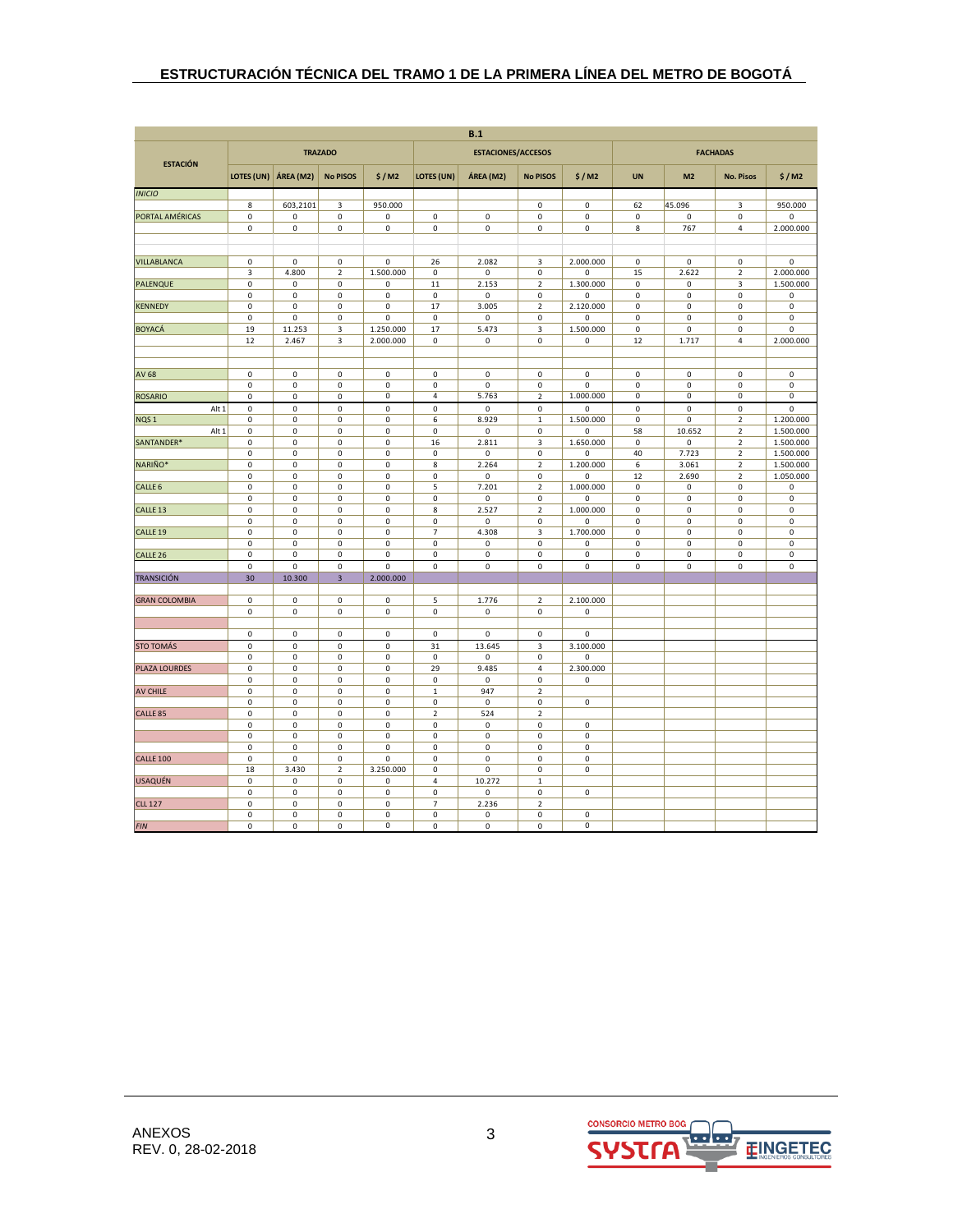| B.1                  |                          |                            |                                    |                     |                               |                            |                                        |                          |                            |                            |                                  |                          |
|----------------------|--------------------------|----------------------------|------------------------------------|---------------------|-------------------------------|----------------------------|----------------------------------------|--------------------------|----------------------------|----------------------------|----------------------------------|--------------------------|
| <b>ESTACIÓN</b>      |                          |                            | <b>TRAZADO</b>                     |                     |                               | <b>ESTACIONES/ACCESOS</b>  |                                        |                          |                            |                            | <b>FACHADAS</b>                  |                          |
|                      | LOTES (UN)               | ÁREA (M2)                  | <b>No PISOS</b>                    | \$/M2               | LOTES (UN)                    | ÁREA (M2)                  | <b>No PISOS</b>                        | \$/M2                    | <b>UN</b>                  | M <sub>2</sub>             | <b>No. Pisos</b>                 | \$/M2                    |
| <b>INICIO</b>        |                          |                            |                                    |                     |                               |                            |                                        |                          |                            |                            |                                  |                          |
|                      | 8                        | 603,2101                   | 3                                  | 950.000             |                               |                            | $\mathsf 0$                            | $\mathsf 0$              | 62                         | 45.096                     | 3                                | 950.000                  |
| PORTAL AMÉRICAS      | 0<br>$\mathbf 0$         | 0<br>$\mathsf 0$           | $\mathbf 0$<br>$\mathsf{O}\xspace$ | 0<br>0              | $\mathsf 0$<br>$\mathbf 0$    | $\mathbf 0$<br>$\mathsf 0$ | 0<br>$\mathbf 0$                       | 0<br>$\mathsf 0$         | $\pmb{0}$<br>8             | 0<br>767                   | 0<br>$\overline{a}$              | $\mathsf 0$<br>2.000.000 |
|                      |                          |                            |                                    |                     |                               |                            |                                        |                          |                            |                            |                                  |                          |
|                      |                          |                            |                                    |                     |                               |                            |                                        |                          |                            |                            |                                  |                          |
| VILLABLANCA          | 0                        | 0                          | 0                                  | 0                   | 26                            | 2.082                      | 3                                      | 2.000.000                | 0                          | 0                          | 0                                | 0                        |
|                      | 3                        | 4.800                      | $\overline{\mathbf{2}}$            | 1.500.000           | 0                             | $\mathsf 0$                | $\pmb{0}$                              | 0                        | 15                         | 2.622                      | $\mathbf 2$                      | 2.000.000                |
| <b>PALENQUE</b>      | 0<br>0                   | 0<br>0                     | $\pmb{0}$<br>$\mathsf 0$           | 0<br>0              | 11<br>$\mathsf 0$             | 2.153<br>$\mathsf 0$       | $\overline{2}$<br>$\mathsf 0$          | 1.300.000<br>$\pmb{0}$   | $\mathsf 0$<br>$\mathsf 0$ | $\mathbf 0$<br>$\mathsf 0$ | 3<br>$\mathsf 0$                 | 1.500.000<br>0           |
| <b>KENNEDY</b>       | 0                        | 0                          | 0                                  | 0                   | 17                            | 3.005                      | 2                                      | 2.120.000                | $\pmb{0}$                  | 0                          | 0                                | 0                        |
|                      | $\pmb{0}$                | 0                          | 0                                  | 0                   | $\mathbf 0$                   | $\mathsf 0$                | $\pmb{0}$                              | 0                        | $\pmb{0}$                  | $\mathsf 0$                | $\mathsf 0$                      | 0                        |
| <b>BOYACÁ</b>        | 19                       | 11.253                     | 3                                  | 1.250.000           | 17                            | 5.473                      | 3                                      | 1.500.000                | $\mathsf 0$                | $\mathbf 0$                | $\mathbf 0$                      | $\mathbf 0$              |
|                      | 12                       | 2.467                      | $\mathsf 3$                        | 2.000.000           | $\mathbf 0$                   | $\mathsf 0$                | $\pmb{0}$                              | 0                        | 12                         | 1.717                      | $\overline{4}$                   | 2.000.000                |
|                      |                          |                            |                                    |                     |                               |                            |                                        |                          |                            |                            |                                  |                          |
| <b>AV 68</b>         | $\pmb{0}$                | $\mathsf 0$                | $\pmb{0}$                          | 0                   | $\mathbf 0$                   | $\mathsf 0$                | $\mathbf 0$                            | $\mathsf 0$              | $\mathbf 0$                | $\mathsf 0$                | $\pmb{0}$                        | $\pmb{0}$                |
|                      | $\mathsf 0$              | $\pmb{0}$                  | $\mathsf 0$                        | 0                   | $\pmb{0}$                     | 0                          | $\mathsf 0$                            | 0                        | $\pmb{0}$                  | $\mathsf 0$                | $\mathsf 0$                      | $\pmb{0}$                |
| <b>ROSARIO</b>       | 0                        | 0                          | 0                                  | 0                   | 4                             | 5.763                      | $\mathbf 2$                            | 1.000.000                | $\pmb{0}$                  | 0                          | $\mathbf 0$                      | $\pmb{0}$                |
| Alt 1                | $\mathsf 0$              | $\mathsf 0$                | $\mathsf{O}\xspace$                | $\mathsf{O}\xspace$ | $\pmb{0}$                     | 0                          | $\mathbf 0$                            | $\pmb{0}$                | $\mathsf 0$                | $\pmb{0}$                  | $\pmb{0}$                        | $\pmb{0}$                |
| NQS <sub>1</sub>     | 0                        | $\mathsf 0$                | $\pmb{0}$                          | 0                   | 6                             | 8.929                      | $\mathbf 1$                            | 1.500.000                | $\mathsf 0$                | $\mathsf 0$                | $\overline{2}$                   | 1.200.000                |
| Alt 1<br>SANTANDER*  | $\pmb{0}$<br>$\mathsf 0$ | $\pmb{0}$<br>0             | $\pmb{0}$<br>$\mathsf 0$           | 0<br>0              | $\mathbf 0$<br>16             | $\mathsf 0$<br>2.811       | $\pmb{0}$<br>3                         | 0<br>1.650.000           | 58<br>$\pmb{0}$            | 10.652<br>$\mathsf 0$      | $\overline{2}$<br>$\overline{2}$ | 1.500.000<br>1.500.000   |
|                      | 0                        | $\mathsf 0$                | 0                                  | 0                   | $\mathsf 0$                   | 0                          | 0                                      | 0                        | 40                         | 7.723                      | $\overline{2}$                   | 1.500.000                |
| NARIÑO*              | $\mathsf 0$              | 0                          | $\mathsf 0$                        | $\mathsf 0$         | 8                             | 2.264                      | $\overline{2}$                         | 1.200.000                | 6                          | 3.061                      | $\overline{2}$                   | 1.500.000                |
|                      | $\pmb{0}$                | $\pmb{0}$                  | $\pmb{0}$                          | $\mathsf 0$         | $\pmb{0}$                     | $\mathsf{O}\xspace$        | $\pmb{0}$                              | $\pmb{0}$                | 12                         | 2.690                      | $\overline{2}$                   | 1.050.000                |
| CALLE <sub>6</sub>   | $\pmb{0}$                | 0                          | $\mathsf 0$                        | 0                   | 5                             | 7.201                      | $\mathbf 2$                            | 1.000.000                | $\pmb{0}$                  | $\mathsf 0$                | $\mathsf 0$                      | 0                        |
|                      | 0                        | 0                          | $\mathsf 0$                        | 0                   | $\mathsf 0$                   | 0                          | $\mathsf 0$                            | 0                        | $\mathsf 0$                | $\mathsf 0$                | $\mathsf 0$                      | $\mathsf 0$              |
| CALLE <sub>13</sub>  | 0<br>$\mathsf 0$         | $\mathsf 0$<br>$\mathsf 0$ | $\mathsf 0$<br>$\mathsf 0$         | 0<br>$\mathsf 0$    | 8<br>$\mathbf 0$              | 2.527<br>$\mathsf 0$       | $\overline{\mathbf{c}}$<br>$\mathbf 0$ | 1.000.000<br>$\pmb{0}$   | 0<br>$\pmb{0}$             | $\mathsf 0$<br>$\mathsf 0$ | $\mathsf 0$<br>$\mathsf 0$       | $\mathsf 0$<br>$\pmb{0}$ |
| CALLE <sub>19</sub>  | $\mathsf 0$              | 0                          | $\mathsf 0$                        | 0                   | $\overline{7}$                | 4.308                      | $\mathsf 3$                            | 1.700.000                | $\mathsf 0$                | $\mathsf 0$                | $\mathsf 0$                      | $\mathsf 0$              |
|                      | 0                        | 0                          | $\mathsf 0$                        | 0                   | $\mathsf 0$                   | 0                          | 0                                      | 0                        | 0                          | 0                          | $\mathsf 0$                      | 0                        |
| CALLE <sub>26</sub>  | 0                        | $\mathsf 0$                | 0                                  | 0                   | $\mathbf 0$                   | $\mathsf 0$                | $\pmb{0}$                              | $\pmb{0}$                | $\pmb{0}$                  | $\mathsf 0$                | $\mathsf 0$                      | $\mathsf 0$              |
|                      | 0                        | $\mathsf 0$                | $\pmb{0}$                          | 0                   | $\mathsf 0$                   | $\pmb{0}$                  | $\pmb{0}$                              | 0                        | $\pmb{0}$                  | $\pmb{0}$                  | $\mathsf 0$                      | $\pmb{0}$                |
| <b>TRANSICIÓN</b>    | 30                       | 10.300                     | $\overline{\mathbf{3}}$            | 2.000.000           |                               |                            |                                        |                          |                            |                            |                                  |                          |
| <b>GRAN COLOMBIA</b> | $\mathsf 0$              | 0                          | $\mathsf 0$                        | 0                   | 5                             | 1.776                      | $\overline{2}$                         | 2.100.000                |                            |                            |                                  |                          |
|                      | $\pmb{0}$                | $\mathsf{O}\xspace$        | $\pmb{0}$                          | 0                   | $\mathsf 0$                   | 0                          | $\mathbf 0$                            | 0                        |                            |                            |                                  |                          |
|                      |                          |                            |                                    |                     |                               |                            |                                        |                          |                            |                            |                                  |                          |
|                      | $\pmb{0}$                | $\mathsf 0$                | $\mathsf 0$                        | 0                   | $\mathsf{O}\xspace$           | 0                          | $\mathbf 0$                            | 0                        |                            |                            |                                  |                          |
| <b>STO TOMÁS</b>     | $\pmb{0}$                | $\mathsf 0$                | $\pmb{0}$                          | $\pmb{0}$           | 31                            | 13.645                     | $\mathsf 3$                            | 3.100.000                |                            |                            |                                  |                          |
| PLAZA LOURDES        | 0<br>0                   | $\mathsf 0$<br>0           | $\mathsf 0$<br>0                   | 0<br>0              | $\mathsf{O}\xspace$<br>29     | 0<br>9.485                 | $\mathsf 0$<br>4                       | $\mathsf 0$<br>2.300.000 |                            |                            |                                  |                          |
|                      | 0                        | $\pmb{0}$                  | $\pmb{0}$                          | 0                   | $\pmb{0}$                     | $\pmb{0}$                  | $\pmb{0}$                              | 0                        |                            |                            |                                  |                          |
| AV CHILE             | $\mathsf 0$              | $\mathsf 0$                | $\mathsf 0$                        | $\mathsf 0$         | $\mathbf 1$                   | 947                        | $\overline{2}$                         |                          |                            |                            |                                  |                          |
|                      | $\mathsf 0$              | $\mathsf 0$                | $\mathsf 0$                        | 0                   | $\mathsf 0$                   | $\mathsf 0$                | $\mathsf{O}\xspace$                    | $\mathsf 0$              |                            |                            |                                  |                          |
| CALLE <sub>85</sub>  | 0                        | $\mathsf 0$                | $\pmb{0}$                          | 0                   | $\mathbf 2$                   | 524                        | $\mathbf 2$                            |                          |                            |                            |                                  |                          |
|                      | $\pmb{0}$<br>$\mathsf 0$ | 0<br>$\mathsf 0$           | $\mathsf 0$<br>$\pmb{0}$           | 0<br>0              | $\mathbf 0$<br>$\pmb{0}$      | 0<br>$\pmb{0}$             | $\mathsf 0$<br>$\mathsf{O}\xspace$     | 0<br>$\pmb{0}$           |                            |                            |                                  |                          |
|                      | 0                        | 0                          | $\mathsf 0$                        | 0                   | $\mathsf 0$                   | $\mathsf 0$                | $\mathsf 0$                            | $\mathsf 0$              |                            |                            |                                  |                          |
| <b>CALLE 100</b>     | 0                        | 0                          | $\mathsf 0$                        | 0                   | $\mathsf 0$                   | $\mathsf 0$                | $\mathsf 0$                            | $\pmb{0}$                |                            |                            |                                  |                          |
|                      | 18                       | 3.430                      | $\mathbf 2$                        | 3.250.000           | $\mathbf 0$                   | $\mathsf 0$                | 0                                      | $\pmb{0}$                |                            |                            |                                  |                          |
| <b>USAQUÉN</b>       | $\mathsf 0$              | $\mathsf 0$                | 0                                  | 0                   | $\overline{4}$                | 10.272                     | $\mathbf 1$                            |                          |                            |                            |                                  |                          |
|                      | $\mathsf 0$              | 0                          | $\mathsf 0$                        | 0                   | $\mathbf 0$                   | 0                          | $\mathsf 0$                            | $\mathsf 0$              |                            |                            |                                  |                          |
| <b>CLL 127</b>       | 0<br>0                   | 0<br>0                     | 0<br>0                             | 0<br>0              | $\overline{7}$<br>$\mathsf 0$ | 2.236<br>$\mathsf 0$       | $\overline{2}$<br>$\mathsf 0$          | $\mathsf 0$              |                            |                            |                                  |                          |
| <b>FIN</b>           | $\mathbf 0$              | $\mathbf 0$                | 0                                  | 0                   | $\mathbf 0$                   | $\mathbf 0$                | $\mathbf 0$                            | $\mathbf 0$              |                            |                            |                                  |                          |

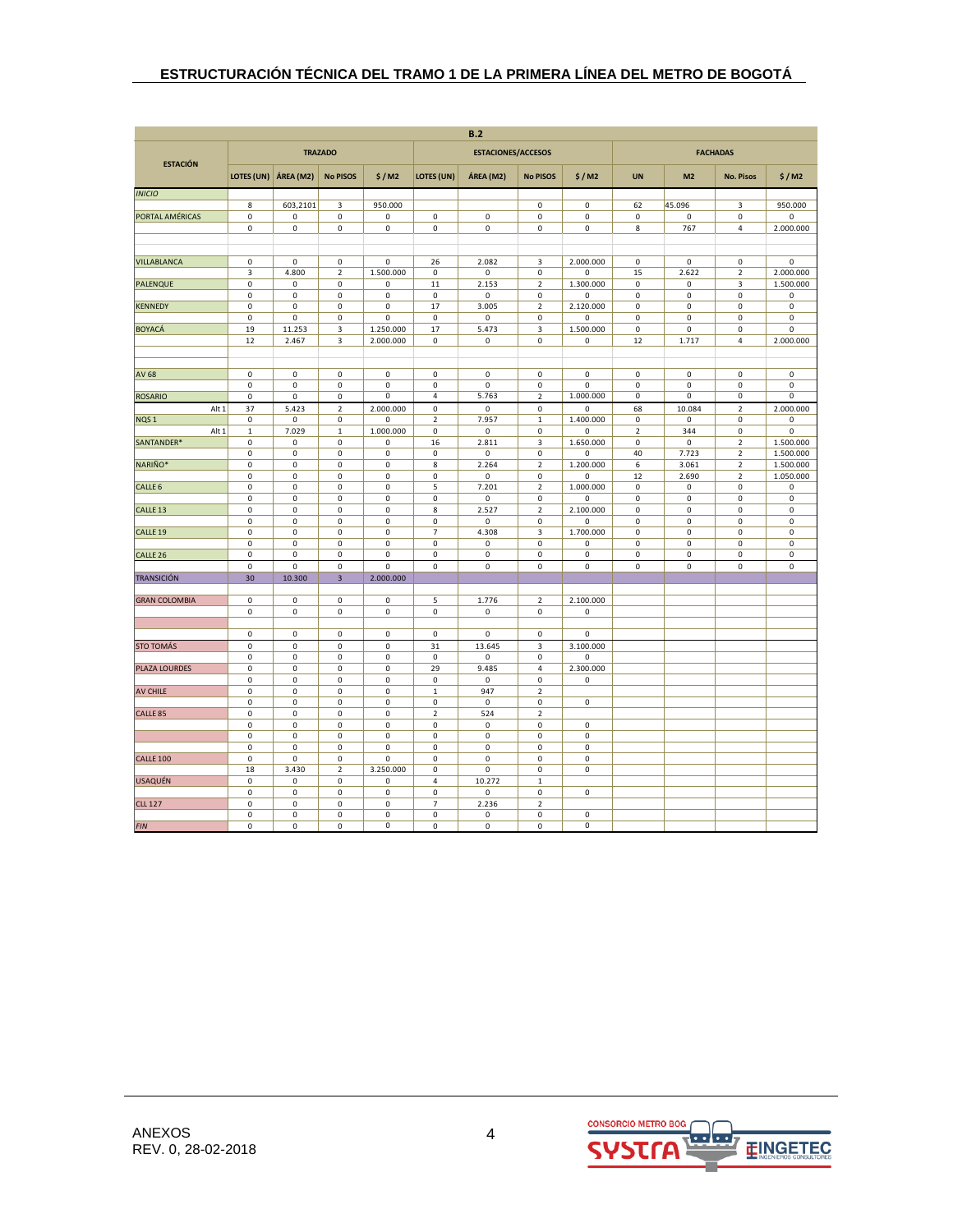| B.2                       |                          |                                  |                                        |                  |                                    |                                  |                             |                          |                            |                            |                  |                          |
|---------------------------|--------------------------|----------------------------------|----------------------------------------|------------------|------------------------------------|----------------------------------|-----------------------------|--------------------------|----------------------------|----------------------------|------------------|--------------------------|
| <b>ESTACIÓN</b>           |                          |                                  | <b>TRAZADO</b>                         |                  |                                    | <b>ESTACIONES/ACCESOS</b>        |                             |                          |                            |                            | <b>FACHADAS</b>  |                          |
|                           | LOTES (UN)               | ÁREA (M2)                        | <b>No PISOS</b>                        | \$/M2            | LOTES (UN)                         | ÁREA (M2)                        | <b>No PISOS</b>             | \$/M2                    | <b>UN</b>                  | M <sub>2</sub>             | <b>No. Pisos</b> | \$/M2                    |
| <b>INICIO</b>             |                          |                                  |                                        |                  |                                    |                                  |                             |                          |                            |                            |                  |                          |
|                           | 8                        | 603,2101                         | 3                                      | 950.000          |                                    |                                  | 0                           | $\mathsf 0$              | 62                         | 45.096                     | 3                | 950.000                  |
| PORTAL AMÉRICAS           | $\pmb{0}$<br>0           | $\pmb{0}$<br>$\mathbf 0$         | $\pmb{0}$<br>$\mathbf 0$               | 0<br>$\pmb{0}$   | $\mathsf 0$<br>$\mathsf{O}\xspace$ | $\pmb{0}$<br>$\mathsf{O}\xspace$ | $\pmb{0}$<br>$\pmb{0}$      | $\pmb{0}$<br>$\mathsf 0$ | $\pmb{0}$<br>$\bf 8$       | 0<br>767                   | 0<br>4           | $\pmb{0}$<br>2.000.000   |
|                           |                          |                                  |                                        |                  |                                    |                                  |                             |                          |                            |                            |                  |                          |
|                           |                          |                                  |                                        |                  |                                    |                                  |                             |                          |                            |                            |                  |                          |
| VILLABLANCA               | 0                        | $\mathbf 0$                      | 0                                      | 0                | 26                                 | 2.082                            | 3                           | 2.000.000                | $\pmb{0}$                  | 0                          | 0                | 0                        |
|                           | 3                        | 4.800                            | $\mathbf 2$                            | 1.500.000        | $\mathsf 0$                        | 0                                | $\pmb{0}$                   | $\pmb{0}$                | 15                         | 2.622                      | $\mathbf 2$      | 2.000.000                |
| <b>PALENQUE</b>           | 0<br>0                   | $\mathsf 0$<br>$\mathsf 0$       | $\mathsf 0$<br>$\mathsf 0$             | 0<br>0           | $11\,$<br>$\mathsf 0$              | 2.153<br>0                       | $\mathbf 2$<br>$\pmb{0}$    | 1.300.000<br>$\pmb{0}$   | $\mathsf 0$<br>$\mathsf 0$ | $\mathsf 0$<br>$\mathsf 0$ | 3<br>0           | 1.500.000<br>$\mathsf 0$ |
| <b>KENNEDY</b>            | 0                        | $\mathsf 0$                      | $\mathsf 0$                            | 0                | 17                                 | 3.005                            | $\overline{2}$              | 2.120.000                | $\mathsf 0$                | $\mathsf 0$                | 0                | $\mathsf 0$              |
|                           | 0                        | 0                                | 0                                      | 0                | 0                                  | 0                                | $\pmb{0}$                   | 0                        | 0                          | 0                          | 0                | 0                        |
| <b>BOYACÁ</b>             | 19                       | 11.253                           | 3                                      | 1.250.000        | 17                                 | 5.473                            | 3                           | 1.500.000                | $\mathsf 0$                | 0                          | 0                | 0                        |
|                           | 12                       | 2.467                            | $\mathsf 3$                            | 2.000.000        | $\mathsf 0$                        | 0                                | $\mathsf{O}\xspace$         | 0                        | 12                         | 1.717                      | 4                | 2.000.000                |
|                           |                          |                                  |                                        |                  |                                    |                                  |                             |                          |                            |                            |                  |                          |
| AV 68                     | $\pmb{0}$                | $\mathbf 0$                      | 0                                      | 0                | $\mathsf 0$                        | 0                                | $\pmb{0}$                   | $\mathsf 0$              | $\pmb{0}$                  | $\mathsf 0$                | 0                | 0                        |
|                           | $\pmb{0}$                | $\mathsf 0$                      | $\mathsf 0$                            | 0                | $\mathbf 0$                        | 0                                | $\pmb{0}$                   | $\mathbf 0$              | $\mathsf 0$                | 0                          | 0                | 0                        |
| <b>ROSARIO</b>            | 0                        | $\mathsf 0$                      | 0                                      | 0                | 4                                  | 5.763                            | $\overline{2}$              | 1.000.000                | $\pmb{0}$                  | $\mathsf 0$                | 0                | 0                        |
| Alt 1                     | 37                       | 5.423                            | $\mathbf 2$                            | 2.000.000        | $\pmb{0}$                          | $\mathsf 0$                      | $\pmb{0}$                   | $\pmb{0}$                | 68                         | 10.084                     | $\mathbf 2$      | 2.000.000                |
| NQS <sub>1</sub><br>Alt 1 | 0<br>$\mathbf 1$         | 0<br>7.029                       | 0                                      | 0<br>1.000.000   | $\mathbf 2$<br>$\mathsf 0$         | 7.957<br>0                       | $\,1\,$<br>$\mathbf 0$      | 1.400.000<br>$\mathbf 0$ | $\pmb{0}$<br>$\mathbf 2$   | 0<br>344                   | 0<br>0           | 0<br>$\mathbf 0$         |
| SANTANDER*                | $\pmb{0}$                | $\mathsf{O}\xspace$              | 1<br>$\mathbf 0$                       | 0                | 16                                 | 2.811                            | $\overline{\mathbf{3}}$     | 1.650.000                | $\mathsf 0$                | $\mathbf 0$                | $\overline{2}$   | 1.500.000                |
|                           | 0                        | $\mathsf 0$                      | $\mathsf 0$                            | 0                | $\mathsf 0$                        | 0                                | 0                           | $\mathsf 0$              | 40                         | 7.723                      | $\overline{2}$   | 1.500.000                |
| NARIÑO*                   | 0                        | $\mathsf 0$                      | $\mathsf 0$                            | 0                | 8                                  | 2.264                            | $\mathbf 2$                 | 1.200.000                | 6                          | 3.061                      | 2                | 1.500.000                |
|                           | $\mathbf 0$              | $\pmb{0}$                        | $\pmb{0}$                              | 0                | $\mathbf 0$                        | $\pmb{0}$                        | $\mathbf 0$                 | $\pmb{0}$                | 12                         | 2.690                      | $\mathbf 2$      | 1.050.000                |
| CALLE <sub>6</sub>        | $\mathbf 0$              | $\mathsf 0$                      | $\mathbf 0$                            | 0                | 5                                  | 7.201                            | $\mathbf 2$                 | 1.000.000                | $\mathsf 0$                | $\mathsf 0$                | 0                | $\mathsf 0$              |
| CALLE <sub>13</sub>       | $\pmb{0}$<br>$\mathbf 0$ | $\mathbf 0$<br>$\pmb{0}$         | $\mathsf 0$<br>$\pmb{0}$               | $\mathsf 0$<br>0 | $\mathbf 0$<br>8                   | 0<br>2.527                       | $\pmb{0}$<br>$\mathbf 2$    | $\mathsf 0$<br>2.100.000 | $\pmb{0}$<br>$\pmb{0}$     | 0<br>$\mathsf 0$           | $\mathsf 0$<br>0 | $\mathsf 0$<br>0         |
|                           | $\pmb{0}$                | $\mathsf 0$                      | $\mathbf 0$                            | $\mathsf 0$      | $\mathbf 0$                        | 0                                | $\pmb{0}$                   | 0                        | $\mathsf 0$                | $\mathbf 0$                | 0                | $\mathsf 0$              |
| CALLE <sub>19</sub>       | 0                        | $\mathsf 0$                      | $\pmb{0}$                              | 0                | $\overline{7}$                     | 4.308                            | 3                           | 1.700.000                | $\mathsf 0$                | $\mathsf{O}\xspace$        | 0                | $\mathsf 0$              |
|                           | $\mathbf 0$              | $\mathbf 0$                      | $\mathbf 0$                            | 0                | $\mathsf{O}\xspace$                | $\mathbf 0$                      | $\mathbf 0$                 | $\mathbf 0$              | $\mathbf 0$                | $\mathbf 0$                | 0                | $\mathbf 0$              |
| CALLE <sub>26</sub>       | 0                        | $\pmb{0}$                        | 0                                      | 0                | $\mathsf 0$                        | 0                                | 0                           | 0                        | $\pmb{0}$                  | 0                          | 0                | 0                        |
| <b>TRANSICIÓN</b>         | 0<br>30                  | $\mathbf 0$<br>10.300            | $\mathbf 0$<br>$\overline{\mathbf{3}}$ | 0<br>2.000.000   | $\mathsf 0$                        | $\pmb{0}$                        | 0                           | $\pmb{0}$                | $\mathsf 0$                | $\mathsf 0$                | 0                | $\mathsf 0$              |
|                           |                          |                                  |                                        |                  |                                    |                                  |                             |                          |                            |                            |                  |                          |
| <b>GRAN COLOMBIA</b>      | 0                        | $\mathsf 0$                      | $\mathsf 0$                            | 0                | 5                                  | 1.776                            | $\sqrt{2}$                  | 2.100.000                |                            |                            |                  |                          |
|                           | 0                        | $\mathsf 0$                      | $\mathsf 0$                            | 0                | 0                                  | 0                                | $\pmb{0}$                   | $\pmb{0}$                |                            |                            |                  |                          |
|                           |                          |                                  |                                        | $\mathbf 0$      |                                    | $\mathbf 0$                      |                             | $\mathbf 0$              |                            |                            |                  |                          |
| <b>STO TOMÁS</b>          | $\mathsf 0$<br>$\pmb{0}$ | $\mathsf{O}\xspace$<br>$\pmb{0}$ | $\mathsf{O}\xspace$<br>$\pmb{0}$       | $\mathbf 0$      | $\mathsf 0$<br>31                  | 13.645                           | $\pmb{0}$<br>$\mathsf 3$    | 3.100.000                |                            |                            |                  |                          |
|                           | $\pmb{0}$                | $\mathsf 0$                      | $\mathsf 0$                            | 0                | $\mathsf 0$                        | 0                                | $\pmb{0}$                   | $\mathsf 0$              |                            |                            |                  |                          |
| PLAZA LOURDES             | 0                        | $\mathsf 0$                      | $\mathsf 0$                            | 0                | 29                                 | 9.485                            | 4                           | 2.300.000                |                            |                            |                  |                          |
|                           | $\mathbf 0$              | $\mathsf 0$                      | $\pmb{0}$                              | 0                | $\mathsf 0$                        | $\mathsf 0$                      | 0                           | $\mathsf 0$              |                            |                            |                  |                          |
| <b>AV CHILE</b>           | $\pmb{0}$                | $\mathbf 0$                      | $\pmb{0}$                              | $\pmb{0}$        | $\,$ 1                             | 947                              | $\mathbf 2$                 |                          |                            |                            |                  |                          |
| CALLE <sub>85</sub>       | 0<br>0                   | $\mathsf 0$<br>$\mathsf 0$       | $\mathsf 0$<br>0                       | 0<br>0           | $\mathbf 0$<br>$\mathbf 2$         | 0<br>524                         | $\pmb{0}$<br>$\overline{2}$ | $\mathsf{O}\xspace$      |                            |                            |                  |                          |
|                           | 0                        | $\mathsf 0$                      | 0                                      | 0                | $\mathsf 0$                        | $\mathsf 0$                      | 0                           | $\mathsf 0$              |                            |                            |                  |                          |
|                           | $\mathbf 0$              | $\pmb{0}$                        | $\pmb{0}$                              | 0                | $\mathsf 0$                        | $\pmb{0}$                        | $\mathbf 0$                 | $\pmb{0}$                |                            |                            |                  |                          |
|                           | $\mathbf 0$              | $\mathsf 0$                      | $\mathsf 0$                            | 0                | $\mathsf{O}\xspace$                | 0                                | $\pmb{0}$                   | $\mathsf{O}\xspace$      |                            |                            |                  |                          |
| <b>CALLE 100</b>          | $\pmb{0}$                | $\mathsf{O}\xspace$              | $\mathsf 0$                            | 0                | $\mathsf 0$                        | 0                                | $\pmb{0}$                   | $\mathbf 0$              |                            |                            |                  |                          |
|                           | 18<br>$\pmb{0}$          | 3.430<br>$\mathbf 0$             | $\overline{2}$<br>0                    | 3.250.000<br>0   | $\mathsf 0$<br>$\pmb{4}$           | 0<br>10.272                      | 0<br>$\,1\,$                | $\pmb{0}$                |                            |                            |                  |                          |
| <b>USAQUÉN</b>            | $\pmb{0}$                | $\mathsf 0$                      | $\mathsf 0$                            | 0                | $\mathsf 0$                        | 0                                | 0                           | $\mathsf 0$              |                            |                            |                  |                          |
| <b>CLL 127</b>            | 0                        | $\mathsf 0$                      | 0                                      | 0                | $\overline{7}$                     | 2.236                            | $\overline{2}$              |                          |                            |                            |                  |                          |
|                           | 0                        | $\mathsf 0$                      | 0                                      | 0                | $\mathsf 0$                        | $\mathsf 0$                      | 0                           | $\mathsf 0$              |                            |                            |                  |                          |
| <b>FIN</b>                | 0                        | $\mathsf 0$                      | $\pmb{0}$                              | 0                | $\mathsf 0$                        | $\mathsf 0$                      | 0                           | $\mathbf 0$              |                            |                            |                  |                          |

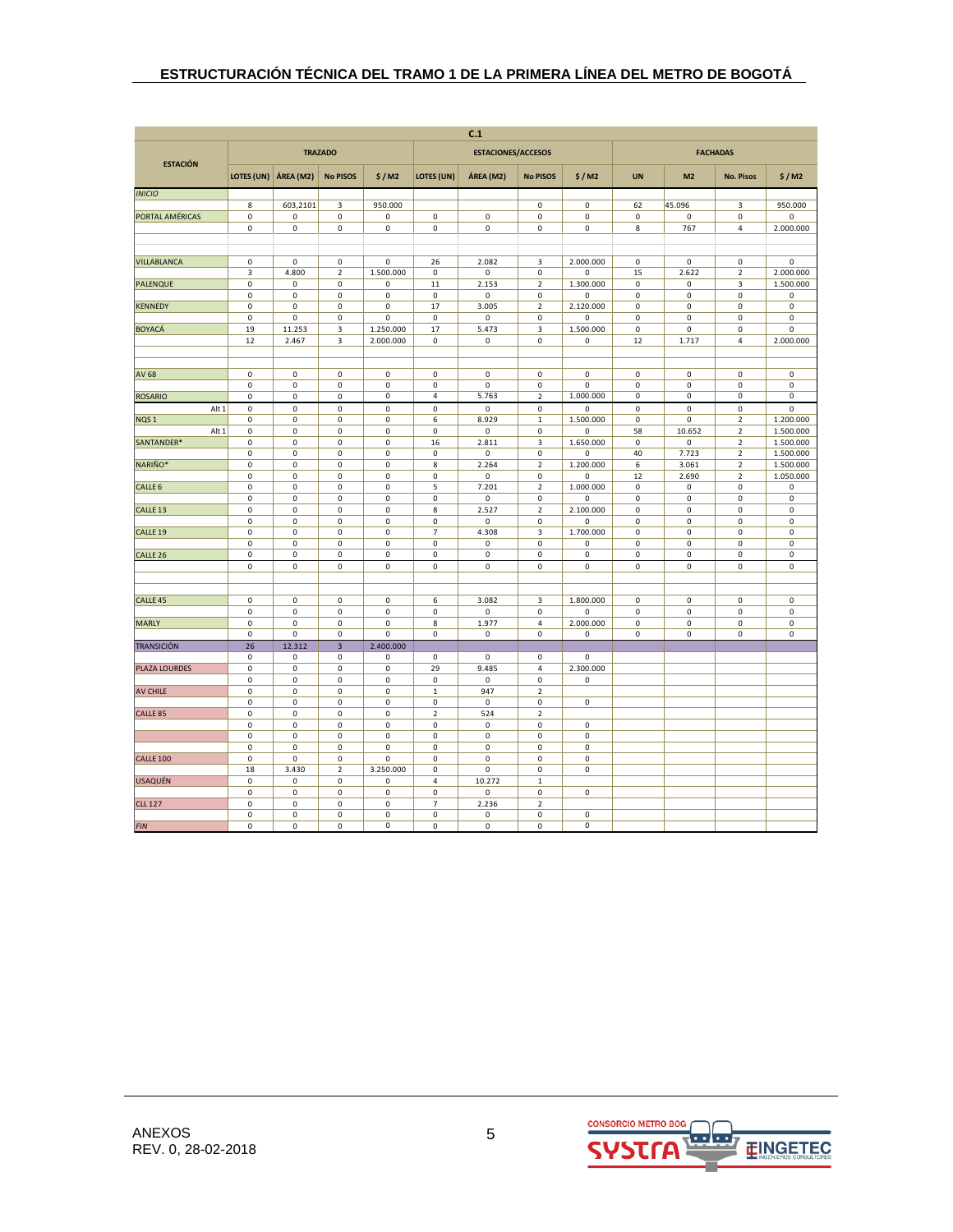| C.1                       |                          |                                            |                            |                |                          |                           |                            |                          |                            |                            |                               |                                    |
|---------------------------|--------------------------|--------------------------------------------|----------------------------|----------------|--------------------------|---------------------------|----------------------------|--------------------------|----------------------------|----------------------------|-------------------------------|------------------------------------|
| <b>ESTACIÓN</b>           |                          |                                            | <b>TRAZADO</b>             |                |                          | <b>ESTACIONES/ACCESOS</b> |                            |                          |                            |                            | <b>FACHADAS</b>               |                                    |
|                           | LOTES (UN)               | ÁREA (M2)                                  | <b>No PISOS</b>            | \$/M2          | LOTES (UN)               | ÁREA (M2)                 | <b>No PISOS</b>            | \$/M2                    | <b>UN</b>                  | M <sub>2</sub>             | <b>No. Pisos</b>              | \$/M2                              |
| <b>INICIO</b>             |                          |                                            |                            |                |                          |                           |                            |                          |                            |                            |                               |                                    |
|                           | 8                        | 603,2101                                   | 3                          | 950.000        |                          |                           | 0                          | $\pmb{0}$                | 62                         | 45.096                     | 3                             | 950.000                            |
| PORTAL AMÉRICAS           | $\pmb{0}$                | $\mathsf 0$                                | $\mathsf 0$                | 0              | $\mathsf 0$              | $\mathsf{O}\xspace$       | 0                          | $\pmb{0}$                | $\mathbf 0$                | 0                          | 0                             | 0                                  |
|                           | $\pmb{0}$                | $\pmb{0}$                                  | $\mathsf{O}\xspace$        | 0              | $\mathbf 0$              | $\mathsf 0$               | $\mathsf 0$                | $\pmb{0}$                | 8                          | 767                        | 4                             | 2.000.000                          |
|                           |                          |                                            |                            |                |                          |                           |                            |                          |                            |                            |                               |                                    |
| VILLABLANCA               | 0                        | 0                                          | 0                          | 0              | 26                       | 2.082                     | 3                          | 2.000.000                | $\mathsf 0$                | 0                          | 0                             | 0                                  |
|                           | 3                        | 4.800                                      | $\mathbf 2$                | 1.500.000      | 0                        | 0                         | 0                          | 0                        | 15                         | 2.622                      | $\mathbf 2$                   | 2.000.000                          |
| <b>PALENQUE</b>           | $\pmb{0}$                | $\mathsf 0$                                | 0                          | 0              | 11                       | 2.153                     | $\mathbf 2$                | 1.300.000                | $\mathsf 0$                | 0                          | 3                             | 1.500.000                          |
|                           | 0                        | $\mathsf 0$                                | $\mathsf 0$                | 0              | $\mathsf 0$              | 0                         | 0                          | 0                        | $\mathsf 0$                | $\mathsf 0$                | $\mathsf 0$                   | $\mathsf 0$                        |
| <b>KENNEDY</b>            | 0                        | $\mathsf 0$                                | $\pmb{0}$                  | 0              | 17                       | 3.005                     | $\overline{2}$             | 2.120.000                | $\pmb{0}$                  | 0                          | 0                             | $\pmb{0}$                          |
| <b>BOYACÁ</b>             | $\pmb{0}$<br>19          | 0<br>11.253                                | $\mathsf 0$<br>3           | 0<br>1.250.000 | $\mathsf 0$<br>17        | 0<br>5.473                | 0<br>3                     | $\Omega$<br>1.500.000    | $\pmb{0}$<br>$\mathsf 0$   | 0<br>0                     | 0<br>0                        | $\mathsf 0$<br>$\mathsf 0$         |
|                           | 12                       | 2.467                                      | 3                          | 2.000.000      | $\mathsf 0$              | $\mathsf 0$               | 0                          | $\mathsf 0$              | 12                         | 1.717                      | 4                             | 2.000.000                          |
|                           |                          |                                            |                            |                |                          |                           |                            |                          |                            |                            |                               |                                    |
|                           |                          |                                            |                            |                |                          |                           |                            |                          |                            |                            |                               |                                    |
| <b>AV 68</b>              | $\mathbf 0$              | $\mathbf 0$                                | $\pmb{0}$                  | 0              | $\mathsf 0$              | $\mathbf 0$               | 0                          | 0                        | $\mathbf 0$                | 0                          | $\mathsf 0$                   | $\mathbf 0$                        |
|                           | $\pmb{0}$                | $\mathsf 0$                                | 0                          | 0              | 0                        | $\mathsf 0$               | 0                          | $\mathbf 0$              | $\mathsf 0$                | $\mathsf 0$                | 0                             | $\mathsf{O}\xspace$                |
| <b>ROSARIO</b>            | 0                        | $\mathsf 0$                                | $\mathsf 0$                | 0              | 4                        | 5.763                     | $\mathbf 2$                | 1.000.000                | 0                          | 0                          | 0                             | $\mathsf 0$                        |
| Alt 1                     | 0<br>0                   | $\mathsf{O}\xspace$                        | $\mathsf 0$<br>$\mathsf 0$ | 0<br>0         | $\pmb{0}$<br>6           | $\mathsf 0$               | 0                          | $\mathbf 0$              | $\mathbf 0$<br>$\mathbf 0$ | 0<br>0                     | $\mathsf 0$<br>$\overline{2}$ | $\mathsf 0$<br>1.200.000           |
| NQS <sub>1</sub><br>Alt 1 | $\pmb{0}$                | $\mathsf 0$<br>0                           | 0                          | 0              | 0                        | 8.929<br>0                | $\,1\,$<br>0               | 1.500.000<br>0           | 58                         | 10.652                     | 2                             | 1.500.000                          |
| SANTANDER*                | $\pmb{0}$                | $\mathsf{O}\xspace$                        | $\mathsf 0$                | 0              | 16                       | 2.811                     | 3                          | 1.650.000                | $\mathsf 0$                | 0                          | $\mathbf 2$                   | 1.500.000                          |
|                           | 0                        | $\mathsf{O}\xspace$                        | $\pmb{0}$                  | 0              | $\mathsf 0$              | $\mathsf 0$               | 0                          | $\mathbf 0$              | 40                         | 7.723                      | $\mathbf 2$                   | 1.500.000                          |
| NARIÑO*                   | 0                        | $\mathsf 0$                                | $\mathsf 0$                | 0              | 8                        | 2.264                     | $\overline{2}$             | 1.200.000                | 6                          | 3.061                      | $\overline{2}$                | 1.500.000                          |
|                           | $\pmb{0}$                | $\mathbf 0$                                | $\mathbf 0$                | 0              | $\mathbf 0$              | $\pmb{0}$                 | $\pmb{0}$                  | 0                        | 12                         | 2.690                      | $\mathbf 2$                   | 1.050.000                          |
| CALLE <sub>6</sub>        | $\pmb{0}$                | $\mathbf 0$                                | 0                          | 0              | 5                        | 7.201                     | $\mathbf 2$                | 1.000.000                | $\pmb{0}$                  | 0                          | $\mathsf 0$                   | 0                                  |
|                           | $\pmb{0}$                | $\mathsf 0$                                | $\mathsf 0$                | 0              | $\mathsf 0$              | $\mathsf 0$               | 0                          | $\mathbf 0$              | $\mathsf 0$                | $\mathsf 0$                | 0                             | $\mathsf 0$                        |
| CALLE <sub>13</sub>       | 0<br>$\pmb{0}$           | $\mathsf 0$<br>$\mathsf{O}\xspace$         | $\mathsf 0$<br>$\mathsf 0$ | 0<br>0         | 8<br>$\mathsf 0$         | 2.527<br>0                | $\mathbf 2$<br>0           | 2.100.000<br>0           | $\pmb{0}$<br>$\mathbf 0$   | 0<br>$\mathsf 0$           | 0<br>0                        | $\mathsf 0$<br>$\mathsf{O}\xspace$ |
| CALLE <sub>19</sub>       | $\pmb{0}$                | $\mathbf 0$                                | $\pmb{0}$                  | 0              | $\overline{\phantom{a}}$ | 4.308                     | 3                          | 1.700.000                | $\mathbf 0$                | $\pmb{0}$                  | $\pmb{0}$                     | $\mathbf 0$                        |
|                           | 0                        | $\mathsf{O}\xspace$                        | $\mathsf 0$                | 0              | $\mathsf 0$              | 0                         | 0                          | $\pmb{0}$                | $\mathsf 0$                | 0                          | $\mathsf 0$                   | $\mathsf 0$                        |
| CALLE <sub>26</sub>       | $\pmb{0}$                | $\mathbf 0$                                | $\mathsf 0$                | 0              | $\pmb{0}$                | 0                         | 0                          | $\pmb{0}$                | $\pmb{0}$                  | $\mathsf 0$                | 0                             | $\mathsf 0$                        |
|                           | $\mathbf 0$              | $\mathsf{O}\xspace$                        | $\mathsf 0$                | 0              | $\mathbf 0$              | $\mathsf{O}\xspace$       | $\mathbf 0$                | $\mathbf 0$              | $\mathbf 0$                | $\mathbf 0$                | $\mathbf 0$                   | $\mathbf 0$                        |
|                           |                          |                                            |                            |                |                          |                           |                            |                          |                            |                            |                               |                                    |
|                           |                          |                                            |                            |                |                          |                           |                            |                          |                            |                            |                               |                                    |
| CALLE <sub>45</sub>       | $\mathsf 0$<br>$\pmb{0}$ | $\mathsf{O}\xspace$<br>$\mathsf{O}\xspace$ | $\mathsf 0$<br>$\mathsf 0$ | 0<br>0         | 6<br>$\mathsf 0$         | 3.082<br>$\mathbf 0$      | 3<br>0                     | 1.800.000<br>$\mathbf 0$ | $\mathbf 0$<br>$\mathbf 0$ | $\mathsf 0$<br>$\mathbf 0$ | 0<br>$\mathsf 0$              | $\mathsf{O}\xspace$<br>$\mathsf 0$ |
| <b>MARLY</b>              | 0                        | $\mathsf 0$                                | $\mathsf 0$                | 0              | 8                        | 1.977                     | 4                          | 2.000.000                | $\mathsf 0$                | 0                          | 0                             | $\mathsf 0$                        |
|                           | $\pmb{0}$                | $\mathsf 0$                                | $\mathsf 0$                | 0              | $\mathsf 0$              | $\mathsf 0$               | 0                          | $\pmb{0}$                | $\mathsf 0$                | $\mathsf 0$                | 0                             | $\mathsf 0$                        |
| <b>TRANSICIÓN</b>         | 26                       | 12.312                                     | $\overline{\mathbf{3}}$    | 2.400.000      |                          |                           |                            |                          |                            |                            |                               |                                    |
|                           | 0                        | $\mathsf 0$                                | 0                          | 0              | 0                        | 0                         | 0                          | 0                        |                            |                            |                               |                                    |
| PLAZA LOURDES             | $\pmb{0}$                | $\mathsf{O}\xspace$                        | $\mathsf 0$                | 0              | 29                       | 9.485                     | $\overline{4}$             | 2.300.000                |                            |                            |                               |                                    |
|                           | $\mathbf 0$              | $\pmb{0}$                                  | $\pmb{0}$                  | 0              | $\pmb{0}$                | $\pmb{0}$                 | 0                          | $\pmb{0}$                |                            |                            |                               |                                    |
| <b>AV CHILE</b>           | $\pmb{0}$<br>$\mathbf 0$ | $\mathsf 0$<br>$\mathbf 0$                 | 0<br>$\pmb{0}$             | 0<br>0         | $\,1\,$<br>$\pmb{0}$     | 947<br>0                  | $\mathbf 2$<br>$\mathbf 0$ | $\pmb{0}$                |                            |                            |                               |                                    |
| CALLE <sub>85</sub>       | 0                        | $\mathsf{O}\xspace$                        | $\pmb{0}$                  | 0              | $\mathbf 2$              | 524                       | $\overline{2}$             |                          |                            |                            |                               |                                    |
|                           | $\pmb{0}$                | $\mathsf{O}\xspace$                        | $\mathbf 0$                | 0              | $\mathsf 0$              | $\mathsf{O}\xspace$       | 0                          | $\mathbf 0$              |                            |                            |                               |                                    |
|                           | 0                        | $\mathbf 0$                                | $\pmb{0}$                  | 0              | 0                        | 0                         | 0                          | $\pmb{0}$                |                            |                            |                               |                                    |
|                           | $\pmb{0}$                | $\mathsf{O}\xspace$                        | $\pmb{0}$                  | 0              | $\pmb{0}$                | $\mathsf 0$               | $\mathbf 0$                | $\pmb{0}$                |                            |                            |                               |                                    |
| <b>CALLE 100</b>          | $\mathbf 0$              | $\mathbf 0$                                | $\pmb{0}$                  | 0              | $\pmb{0}$                | $\pmb{0}$                 | $\mathbf 0$                | $\pmb{0}$                |                            |                            |                               |                                    |
|                           | 18                       | 3.430                                      | $\overline{2}$             | 3.250.000      | $\mathbf 0$              | 0                         | $\mathbf 0$                | $\mathbf 0$              |                            |                            |                               |                                    |
| <b>USAQUÉN</b>            | 0<br>$\mathbf 0$         | 0<br>$\pmb{0}$                             | 0<br>$\pmb{0}$             | 0<br>0         | 4<br>0                   | 10.272<br>0               | $\,1\,$<br>0               | $\pmb{0}$                |                            |                            |                               |                                    |
| <b>CLL 127</b>            | 0                        | $\mathsf 0$                                | $\mathsf 0$                | 0              | $\overline{7}$           | 2.236                     | $\mathbf 2$                |                          |                            |                            |                               |                                    |
|                           | 0                        | $\mathsf 0$                                | $\mathsf 0$                | 0              | $\mathsf 0$              | 0                         | 0                          | $\pmb{0}$                |                            |                            |                               |                                    |
| <b>FIN</b>                | 0                        | $\mathsf 0$                                | $\mathsf 0$                | 0              | $\mathsf 0$              | $\mathsf 0$               | 0                          | $\mathbf 0$              |                            |                            |                               |                                    |

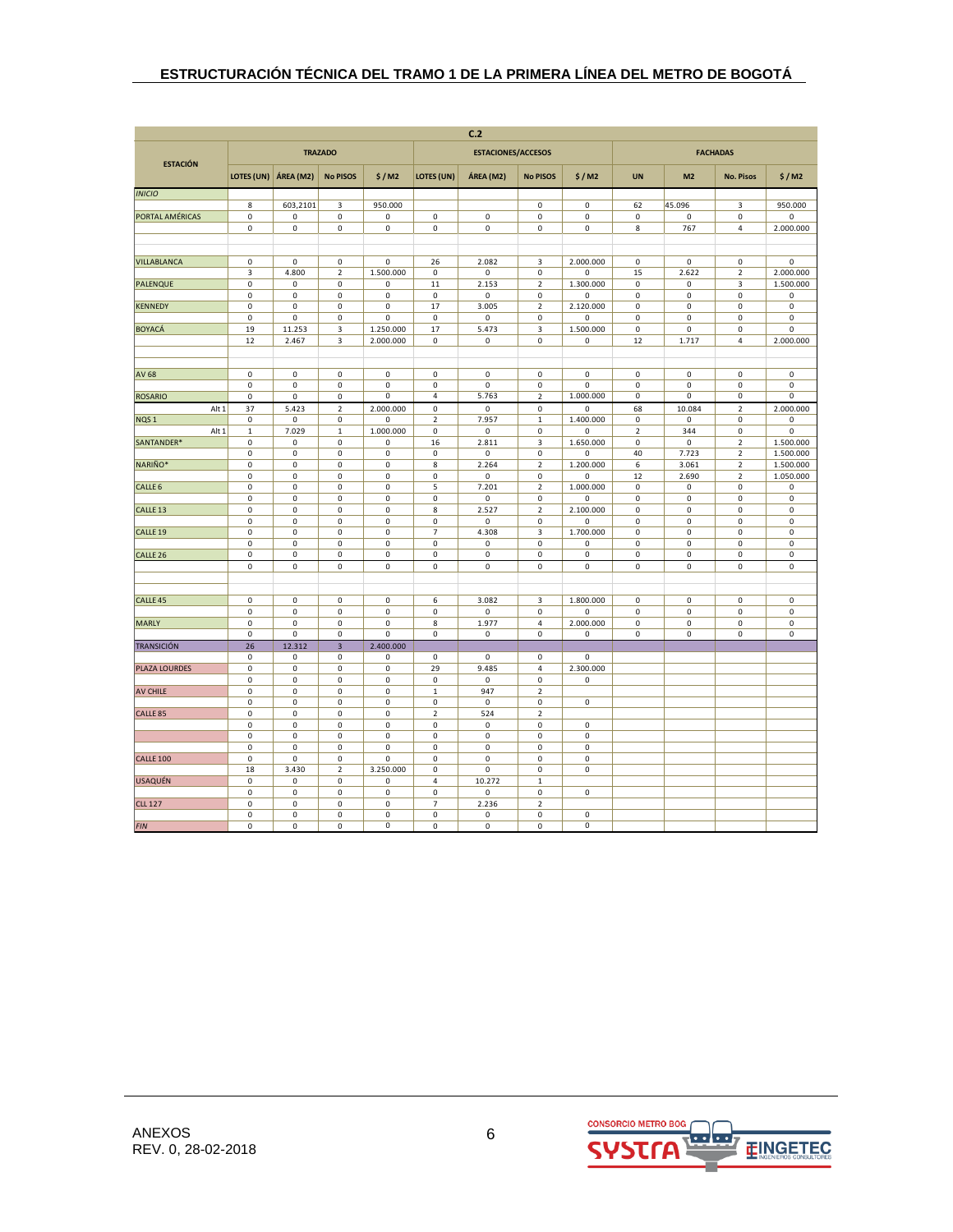| C.2                 |                 |                            |                          |                  |                                    |                           |                             |                                    |                            |                            |                              |                            |
|---------------------|-----------------|----------------------------|--------------------------|------------------|------------------------------------|---------------------------|-----------------------------|------------------------------------|----------------------------|----------------------------|------------------------------|----------------------------|
| <b>ESTACIÓN</b>     |                 |                            | <b>TRAZADO</b>           |                  |                                    | <b>ESTACIONES/ACCESOS</b> |                             |                                    |                            |                            | <b>FACHADAS</b>              |                            |
|                     | LOTES (UN)      | ÁREA (M2)                  | <b>No PISOS</b>          | \$/M2            | <b>LOTES (UN)</b>                  | ÁREA (M2)                 | <b>No PISOS</b>             | \$/M2                              | <b>UN</b>                  | M <sub>2</sub>             | <b>No. Pisos</b>             | \$/M2                      |
| <b>INICIO</b>       |                 |                            |                          |                  |                                    |                           |                             |                                    |                            |                            |                              |                            |
|                     | 8               | 603,2101                   | 3                        | 950.000          |                                    |                           | 0                           | $\mathsf 0$                        | 62                         | 45.096                     | 3                            | 950.000                    |
| PORTAL AMÉRICAS     | $\mathbf 0$     | $\mathsf{O}\xspace$        | $\mathsf 0$              | 0                | $\mathsf 0$                        | $\mathsf 0$               | 0                           | $\mathsf 0$                        | $\pmb{0}$                  | 0                          | 0                            | $\mathbf 0$                |
|                     | $\pmb{0}$       | $\pmb{0}$                  | $\mathsf 0$              | $\mathsf 0$      | $\mathsf{O}\xspace$                | $\mathsf{O}\xspace$       | $\pmb{0}$                   | $\pmb{0}$                          | $\bf 8$                    | 767                        | 4                            | 2.000.000                  |
|                     |                 |                            |                          |                  |                                    |                           |                             |                                    |                            |                            |                              |                            |
| VILLABLANCA         | 0               | 0                          | 0                        | 0                | 26                                 | 2.082                     | 3                           | 2.000.000                          | $\mathsf 0$                | 0                          | 0                            | 0                          |
|                     | 3               | 4.800                      | $\mathbf 2$              | 1.500.000        | $\mathsf 0$                        | 0                         | $\pmb{0}$                   | $\pmb{0}$                          | 15                         | 2.622                      | $\mathbf 2$                  | 2.000.000                  |
| <b>PALENQUE</b>     | 0               | $\mathsf 0$                | $\mathsf 0$              | 0                | $11\,$                             | 2.153                     | $\mathbf 2$                 | 1.300.000                          | $\mathsf 0$                | $\mathsf 0$                | 3                            | 1.500.000                  |
|                     | 0               | $\mathsf 0$                | $\mathsf 0$              | 0                | $\mathsf 0$                        | 0                         | $\pmb{0}$                   | $\pmb{0}$                          | $\mathsf 0$                | $\mathsf 0$                | 0                            | $\mathsf 0$                |
| <b>KENNEDY</b>      | 0<br>0          | $\mathsf 0$<br>$\mathsf 0$ | $\pmb{0}$<br>$\mathsf 0$ | 0<br>0           | 17<br>$\mathsf 0$                  | 3.005<br>0                | $\overline{2}$<br>$\pmb{0}$ | 2.120.000<br>$\Omega$              | $\mathsf 0$<br>$\mathsf 0$ | 0<br>0                     | 0<br>0                       | $\pmb{0}$<br>$\Omega$      |
| <b>BOYACÁ</b>       | 19              | 11.253                     | 3                        | 1.250.000        | 17                                 | 5.473                     | 3                           | 1.500.000                          | $\pmb{0}$                  | 0                          | 0                            | 0                          |
|                     | 12              | 2.467                      | 3                        | 2.000.000        | $\mathbf 0$                        | 0                         | $\mathbf 0$                 | 0                                  | 12                         | 1.717                      | 4                            | 2.000.000                  |
|                     |                 |                            |                          |                  |                                    |                           |                             |                                    |                            |                            |                              |                            |
| <b>AV 68</b>        | $\pmb{0}$       | $\mathbf 0$                | $\pmb{0}$                | $\pmb{0}$        | $\mathsf 0$                        | $\mathsf{O}\xspace$       | $\pmb{0}$                   | $\pmb{0}$                          | $\pmb{0}$                  | $\mathsf 0$                | 0                            | 0                          |
|                     | $\pmb{0}$       | $\mathsf 0$                | 0                        | 0                | $\mathsf 0$                        | $\mathbf 0$               | $\pmb{0}$                   | $\mathbf 0$                        | $\mathsf 0$                | 0                          | 0                            | 0                          |
| <b>ROSARIO</b>      | 0               | $\mathsf 0$                | $\mathsf 0$              | 0                | 4                                  | 5.763                     | $\mathbf 2$                 | 1.000.000                          | 0                          | 0                          | 0                            | 0                          |
| Alt 1               | 37              | 5.423                      | $\overline{2}$           | 2.000.000        | $\mathsf{O}\xspace$                | 0                         | $\pmb{0}$                   | $\mathbf 0$                        | 68                         | 10.084                     | $\overline{2}$               | 2.000.000                  |
| NQS <sub>1</sub>    | 0               | $\mathsf 0$                | 0                        | 0                | $\overline{2}$                     | 7.957                     | $\mathbf 1$                 | 1.400.000                          | $\mathsf 0$                | 0                          | 0                            | $\mathbf 0$                |
| Alt 1<br>SANTANDER* | 1<br>0          | 7.029<br>$\mathsf 0$       | 1<br>0                   | 1.000.000<br>0   | 0<br>16                            | 0<br>2.811                | $\pmb{0}$<br>$\mathsf 3$    | 0<br>1.650.000                     | $\sqrt{2}$<br>$\mathsf 0$  | 344<br>0                   | 0<br>$\overline{\mathbf{c}}$ | 0<br>1.500.000             |
|                     | 0               | $\mathsf 0$                | $\mathsf 0$              | $\mathsf 0$      | $\mathsf{O}\xspace$                | $\mathbf 0$               | $\pmb{0}$                   | $\mathbf 0$                        | 40                         | 7.723                      | $\overline{\mathbf{c}}$      | 1.500.000                  |
| NARIÑO*             | 0               | $\mathsf 0$                | $\mathsf 0$              | 0                | 8                                  | 2.264                     | $\overline{2}$              | 1.200.000                          | 6                          | 3.061                      | $\overline{\mathbf{c}}$      | 1.500.000                  |
|                     | $\pmb{0}$       | $\mathbf 0$                | $\pmb{0}$                | 0                | $\pmb{0}$                          | $\mathsf{O}\xspace$       | $\mathbf 0$                 | $\pmb{0}$                          | 12                         | 2.690                      | $\mathbf 2$                  | 1.050.000                  |
| CALLE <sub>6</sub>  | $\pmb{0}$       | $\mathbf 0$                | 0                        | 0                | 5                                  | 7.201                     | $\mathbf 2$                 | 1.000.000                          | $\pmb{0}$                  | 0                          | 0                            | $\mathsf 0$                |
| CALLE <sub>13</sub> | 0<br>0          | $\mathsf 0$<br>$\mathsf 0$ | 0<br>$\mathsf 0$         | $\mathsf 0$<br>0 | $\mathsf 0$<br>8                   | 0<br>2.527                | $\pmb{0}$<br>$\overline{2}$ | $\mathbf 0$<br>2.100.000           | $\mathsf 0$<br>$\mathsf 0$ | $\mathsf 0$<br>$\mathsf 0$ | 0<br>0                       | $\mathsf 0$<br>0           |
|                     | $\pmb{0}$       | $\mathsf{O}\xspace$        | $\pmb{0}$                | $\mathsf 0$      | $\mathsf{O}\xspace$                | 0                         | $\mathbf 0$                 | 0                                  | $\mathsf 0$                | $\mathsf{O}\xspace$        | 0                            | $\mathsf 0$                |
| CALLE <sub>19</sub> | $\pmb{0}$       | $\mathbf 0$                | $\pmb{0}$                | $\pmb{0}$        | $\overline{\phantom{a}}$           | 4.308                     | 3                           | 1.700.000                          | $\pmb{0}$                  | $\pmb{0}$                  | 0                            | $\mathbf 0$                |
|                     | 0               | $\mathsf 0$                | $\mathsf 0$              | 0                | $\mathsf{O}\xspace$                | 0                         | 0                           | $\pmb{0}$                          | $\mathsf 0$                | $\mathsf 0$                | 0                            | 0                          |
| CALLE <sub>26</sub> | $\pmb{0}$       | $\mathbf 0$                | $\mathsf 0$              | $\mathsf 0$      | $\mathbf 0$                        | 0                         | $\pmb{0}$                   | $\mathsf 0$                        | $\mathbf 0$                | $\mathsf 0$                | 0                            | $\mathsf 0$                |
|                     | $\mathbf 0$     | $\mathsf{O}\xspace$        | $\mathbf 0$              | $\mathbf 0$      | $\mathbf 0$                        | $\mathbf 0$               | $\mathbf 0$                 | $\mathbf 0$                        | $\mathbf 0$                | $\mathbf 0$                | 0                            | $\mathbf 0$                |
|                     |                 |                            |                          |                  |                                    |                           |                             |                                    |                            |                            |                              |                            |
| CALLE <sub>45</sub> | 0               | $\mathsf 0$                | $\pmb{0}$                | $\mathsf 0$      | 6                                  | 3.082                     | 3                           | 1.800.000                          | $\mathsf 0$                | $\mathsf 0$                | 0                            | $\mathsf{O}\xspace$        |
|                     | 0               | $\mathsf{O}\xspace$        | $\mathsf 0$              | $\mathbf 0$      | $\mathsf{O}\xspace$                | $\mathbf 0$               | $\mathbf 0$                 | $\mathbf 0$                        | $\mathsf 0$                | $\mathbf 0$                | 0                            | $\mathsf{O}\xspace$        |
| <b>MARLY</b>        | 0<br>0          | $\mathsf 0$<br>$\mathbf 0$ | $\pmb{0}$<br>$\mathsf 0$ | 0<br>0           | 8<br>$\mathsf 0$                   | 1.977<br>0                | 4<br>$\pmb{0}$              | 2.000.000<br>$\mathsf 0$           | $\mathsf 0$<br>$\mathsf 0$ | $\pmb{0}$<br>$\mathsf 0$   | 0<br>0                       | $\mathsf 0$<br>$\mathsf 0$ |
| <b>TRANSICIÓN</b>   | 26              | 12.312                     | $\overline{\mathbf{3}}$  | 2.400.000        |                                    |                           |                             |                                    |                            |                            |                              |                            |
|                     | 0               | $\mathsf 0$                | $\mathsf 0$              | 0                | $\mathsf 0$                        | 0                         | $\pmb{0}$                   | $\mathsf 0$                        |                            |                            |                              |                            |
| PLAZA LOURDES       | 0               | $\mathsf{O}\xspace$        | $\mathbf 0$              | $\pmb{0}$        | 29                                 | 9.485                     | $\overline{4}$              | 2.300.000                          |                            |                            |                              |                            |
|                     | $\pmb{0}$       | $\pmb{0}$                  | $\pmb{0}$                | 0                | $\pmb{0}$                          | $\mathsf 0$               | $\pmb{0}$                   | $\pmb{0}$                          |                            |                            |                              |                            |
| AV CHILE            | 0<br>$\pmb{0}$  | $\mathsf 0$<br>$\pmb{0}$   | $\mathsf 0$<br>$\pmb{0}$ | 0<br>0           | $\,1\,$<br>$\mathbf 0$             | 947<br>$\pmb{0}$          | $\mathbf 2$<br>$\pmb{0}$    | $\mathsf 0$                        |                            |                            |                              |                            |
| CALLE <sub>85</sub> | 0               | $\mathsf 0$                | $\mathsf 0$              | $\mathsf 0$      | $\mathbf 2$                        | 524                       | $\overline{2}$              |                                    |                            |                            |                              |                            |
|                     | 0               | $\mathsf{O}\xspace$        | $\mathbf 0$              | $\mathbf 0$      | $\mathsf{O}\xspace$                | $\mathbf 0$               | $\mathbf 0$                 | $\mathbf 0$                        |                            |                            |                              |                            |
|                     | 0               | $\mathbf 0$                | 0                        | 0                | $\mathsf 0$                        | 0                         | 0                           | $\pmb{0}$                          |                            |                            |                              |                            |
|                     | $\pmb{0}$       | $\mathsf{O}\xspace$        | $\pmb{0}$<br>$\mathsf 0$ | $\pmb{0}$        | $\mathsf{O}\xspace$                | 0                         | $\pmb{0}$                   | $\mathbf 0$<br>$\mathsf{O}\xspace$ |                            |                            |                              |                            |
| <b>CALLE 100</b>    | $\pmb{0}$<br>18 | $\mathbf 0$<br>3.430       | $\overline{2}$           | 0<br>3.250.000   | $\mathbf 0$<br>$\mathsf{O}\xspace$ | $\pmb{0}$<br>0            | $\pmb{0}$<br>$\pmb{0}$      | $\mathbf 0$                        |                            |                            |                              |                            |
| <b>USAQUÉN</b>      | 0               | $\mathbf 0$                | 0                        | 0                | 4                                  | 10.272                    | $\mathbf 1$                 |                                    |                            |                            |                              |                            |
|                     | 0               | $\pmb{0}$                  | $\pmb{0}$                | 0                | $\mathsf 0$                        | 0                         | 0                           | $\pmb{0}$                          |                            |                            |                              |                            |
| <b>CLL 127</b>      | 0               | $\mathsf 0$                | $\pmb{0}$                | 0                | $\overline{7}$                     | 2.236                     | $\mathbf 2$                 |                                    |                            |                            |                              |                            |
|                     | 0               | $\mathsf 0$                | $\mathsf 0$              | 0<br>0           | $\mathsf 0$                        | 0                         | 0                           | $\mathsf 0$<br>$\mathbf 0$         |                            |                            |                              |                            |
| <b>FIN</b>          | 0               | $\mathsf 0$                | $\mathbf 0$              |                  | $\mathsf 0$                        | $\mathsf 0$               | 0                           |                                    |                            |                            |                              |                            |

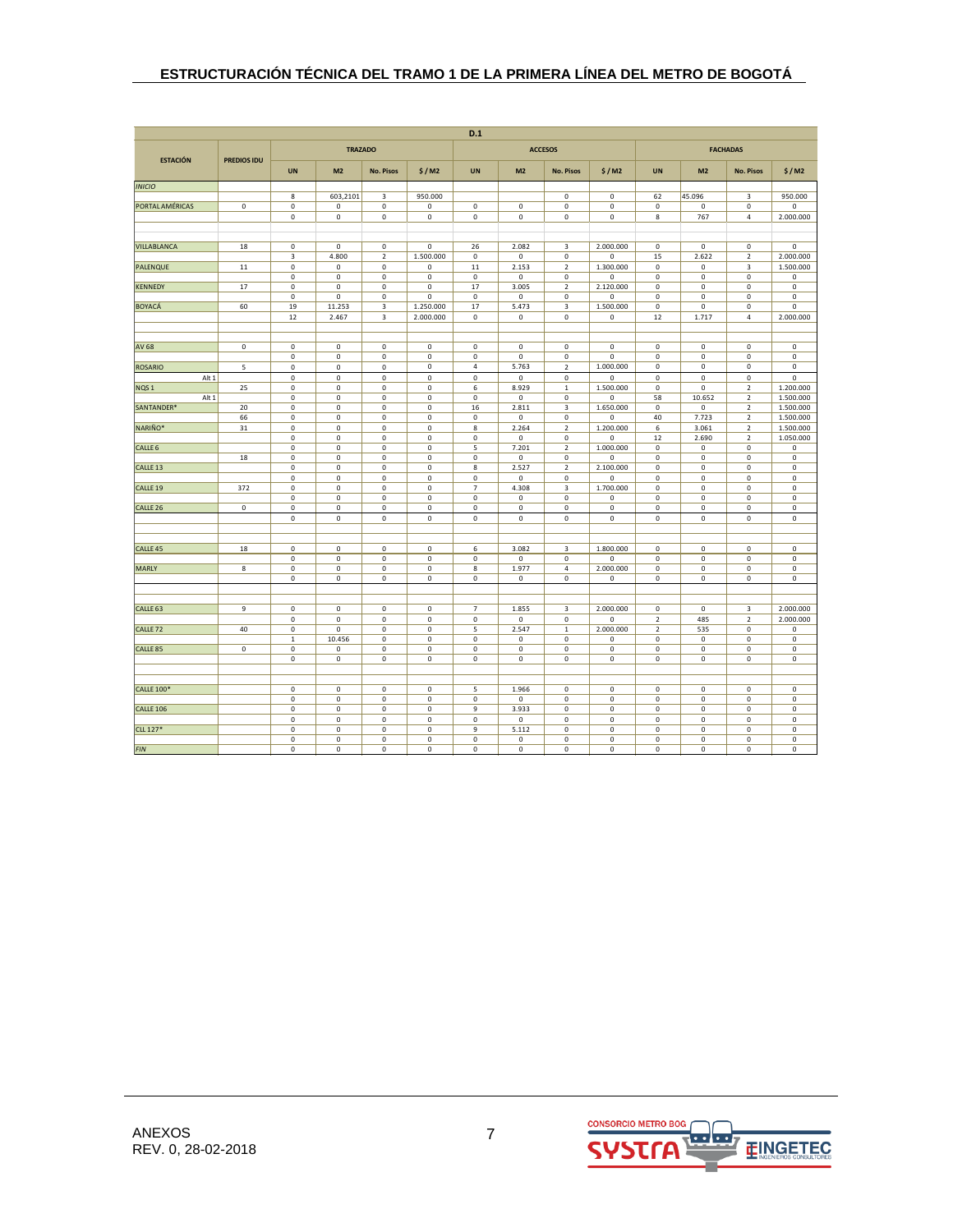|                     |                    |                            |                            |                            |                            | D.1                   |                      |                               |                          |                            |                            |                               |                          |
|---------------------|--------------------|----------------------------|----------------------------|----------------------------|----------------------------|-----------------------|----------------------|-------------------------------|--------------------------|----------------------------|----------------------------|-------------------------------|--------------------------|
|                     |                    |                            |                            | <b>TRAZADO</b>             |                            |                       |                      | <b>ACCESOS</b>                |                          |                            |                            | <b>FACHADAS</b>               |                          |
| <b>ESTACIÓN</b>     | <b>PREDIOS IDU</b> | <b>UN</b>                  | M <sub>2</sub>             | <b>No. Pisos</b>           | \$/M2                      | <b>UN</b>             | M <sub>2</sub>       | <b>No. Pisos</b>              | \$/M2                    | <b>UN</b>                  | M <sub>2</sub>             | <b>No. Pisos</b>              | \$/M2                    |
| <b>INICIO</b>       |                    |                            |                            |                            |                            |                       |                      |                               |                          |                            |                            |                               |                          |
|                     |                    | 8                          | 603,2101                   | 3                          | 950.000                    |                       |                      | 0                             | 0                        | 62                         | 45.096                     | 3                             | 950.000                  |
| PORTAL AMÉRICAS     | $\mathbf 0$        | $\mathbf 0$                | $\mathbf 0$                | $\mathsf 0$                | 0                          | $\mathsf 0$           | $\mathsf 0$          | $\pmb{0}$                     | 0                        | $\mathbf 0$                | $\mathbf 0$                | $\mathbf 0$                   | $\pmb{0}$                |
|                     |                    | $\mathbf 0$                | $\mathbf 0$                | $\mathbf 0$                | $\mathsf{o}$               | $\mathsf 0$           | $\mathsf 0$          | $\mathbf 0$                   | $\mathbf 0$              | $\bf8$                     | 767                        | $\sqrt{4}$                    | 2.000.000                |
|                     |                    |                            |                            |                            |                            |                       |                      |                               |                          |                            |                            |                               |                          |
| VILLABLANCA         | 18                 | $\mathbf 0$                | $\mathbf 0$                | $\mathsf 0$                | $\mathsf 0$                | 26                    | 2.082                | 3                             | 2.000.000                | $\mathbf 0$                | $\mathsf{o}$               | $\mathbf 0$                   | $\mathsf 0$              |
|                     |                    | $\overline{\mathbf{3}}$    | 4.800                      | $\overline{2}$             | 1.500.000                  | $\mathsf{o}$          | $\mathbf 0$          | $\mathbf 0$                   | $\mathbf 0$              | 15                         | 2.622                      | $\overline{2}$                | 2.000.000                |
| PALENQUE            | 11                 | $\pmb{0}$                  | $\pmb{0}$                  | 0                          | 0                          | $11$                  | 2.153                | $\mathbf 2$                   | 1.300.000                | $\mathbf 0$                | 0                          | 3                             | 1.500.000                |
|                     |                    | $\pmb{0}$                  | $\mathbf 0$                | $\mathsf 0$                | $\mathsf 0$                | $\mathbf 0$           | 0                    | 0                             | $\Omega$                 | 0                          | $\mathbf 0$                | $\mathbf 0$                   | 0                        |
| <b>KENNEDY</b>      | 17                 | $\mathbf 0$                | $\pmb{0}$                  | $\mathbf 0$                | $\mathbf 0$                | 17                    | 3.005                | $\overline{2}$                | 2.120.000                | $\mathbf 0$                | $\mathbf 0$                | $\mathbf 0$                   | $\pmb{0}$                |
|                     |                    | $\mathbf 0$                | $\mathbf 0$                | $\mathbf 0$                | 0                          | $\mathbf 0$           | $\mathbf 0$          | $\mathbf 0$                   | $\mathbf 0$              | $\mathbf 0$                | $\mathbf 0$                | $\mathbf 0$                   | $\mathbf 0$              |
| <b>BOYACÁ</b>       | 60                 | 19                         | 11.253                     | 3                          | 1.250.000                  | 17                    | 5.473                | 3                             | 1.500.000                | 0                          | $\mathbf 0$                | $\mathbf 0$                   | $\mathsf 0$              |
|                     |                    | 12                         | 2.467                      | 3                          | 2.000.000                  | $\mathbf 0$           | $\mathsf 0$          | $\pmb{0}$                     | 0                        | 12                         | 1.717                      | $\sqrt{4}$                    | 2.000.000                |
|                     | $\mathbf 0$        | $\mathbf 0$                | $\pmb{0}$                  | $\mathsf 0$                | $\mathbf 0$                | $\mathbf 0$           | $\mathsf 0$          | $\pmb{0}$                     | 0                        | $\mathbf 0$                | $\mathbf 0$                | $\pmb{0}$                     | $\pmb{0}$                |
| AV 68               |                    | $\mathbf 0$                | $\pmb{0}$                  | $\mathsf 0$                | $\mathsf{o}$               | $\mathsf{o}$          | $\mathbf 0$          | $\mathbf 0$                   | $\mathbf 0$              | $\mathbf 0$                | $\mathsf{o}$               | $\mathbf 0$                   | $\pmb{0}$                |
| <b>ROSARIO</b>      | 5                  | $\mathbf 0$                | $\mathbf 0$                | $\mathbf 0$                | 0                          | 4                     | 5.763                | $\overline{2}$                | 1.000.000                | 0                          | 0                          | $\mathsf 0$                   | $\mathsf 0$              |
| Alt 1               |                    | $\mathbf 0$                | $\mathbf 0$                | $\mathbf 0$                | $\mathsf 0$                | $\mathsf 0$           | $\mathsf 0$          | $\mathbf 0$                   | 0                        | $\mathsf 0$                | $\mathbf 0$                | $\mathbf 0$                   | $\pmb{0}$                |
| NQS <sub>1</sub>    | 25                 | $\pmb{0}$                  | $\pmb{0}$                  | $\mathsf 0$                | 0                          | 6                     | 8.929                | $\mathbf{1}$                  | 1.500.000                | $\mathbf 0$                | $\mathsf 0$                | $\overline{2}$                | 1.200.000                |
| Alt 1               |                    | $\pmb{0}$                  | $\pmb{0}$                  | $\mathsf 0$                | $\mathsf{o}$               | $\mathsf{o}$          | $\mathsf{o}\,$       | $\mathbf 0$                   | $\mathbf 0$              | 58                         | 10.652                     | $\overline{2}$                | 1.500.000                |
| SANTANDER*          | 20                 | $\mathbf 0$                | $\mathbf 0$                | $\mathsf 0$                | 0                          | 16                    | 2.811                | 3                             | 1.650.000                | $\mathbf 0$                | $\mathsf 0$                | $\overline{2}$                | 1.500.000                |
|                     | 66                 | $\pmb{0}$                  | $\mathbf 0$                | $\mathsf 0$                | $\mathsf 0$                | $\mathsf 0$           | $\mathsf 0$          | $\mathbf 0$                   | 0                        | 40                         | 7.723                      | $\overline{2}$                | 1.500.000                |
| NARIÑO*             | 31                 | $\pmb{0}$                  | $\pmb{0}$                  | $\mathbf 0$                | $\mathbf 0$                | 8                     | 2.264                | $\mathbf 2$                   | 1.200.000                | 6                          | 3.061                      | $\mathbf 2$                   | 1.500.000                |
| CALLE <sub>6</sub>  |                    | $\mathbf 0$<br>$\mathbf 0$ | $\mathbf 0$<br>$\mathbf 0$ | $\mathsf 0$<br>$\mathsf 0$ | $\mathsf{o}$<br>0          | $\mathsf 0$<br>5      | $\mathbf 0$<br>7.201 | $\mathbf 0$<br>$\overline{2}$ | $\Omega$<br>1.000.000    | 12<br>$\mathbf 0$          | 2.690<br>$\mathbf 0$       | $\overline{2}$<br>$\mathbf 0$ | 1.050.000<br>$\pmb{0}$   |
|                     | 18                 | $\pmb{0}$                  | $\pmb{0}$                  | $\mathsf 0$                | $\mathbf 0$                | $\overline{\text{o}}$ | $\mathsf 0$          | $\pmb{0}$                     | 0                        | $\mathbf 0$                | $\mathbf 0$                | $\mathbf 0$                   | $\pmb{0}$                |
| CALLE <sub>13</sub> |                    | $\pmb{0}$                  | $\mathbf 0$                | $\mathsf{O}\xspace$        | $\mathsf{o}$               | $\bf 8$               | 2.527                | $\overline{2}$                | 2.100.000                | $\mathbf 0$                | $\mathsf{o}$               | $\mathbf 0$                   | $\pmb{0}$                |
|                     |                    | $\mathbf 0$                | $\mathbf 0$                | $\mathbf 0$                | $\mathsf{o}$               | $\mathsf 0$           | 0                    | $\mathbf 0$                   | 0                        | $\mathsf 0$                | $\mathsf 0$                | $\mathsf 0$                   | $\mathsf 0$              |
| CALLE <sub>19</sub> | 372                | $\mathbf 0$                | $\mathbf 0$                | $\mathsf 0$                | 0                          | $\overline{7}$        | 4.308                | 3                             | 1.700.000                | $\mathbf 0$                | $\mathbf 0$                | $\mathsf 0$                   | $\mathsf 0$              |
|                     |                    | $\mathbf 0$                | $\pmb{0}$                  | $\mathsf 0$                | 0                          | $\mathsf 0$           | 0                    | $\mathbf 0$                   | 0                        | 0                          | $\mathbf 0$                | $\mathbf 0$                   | $\pmb{0}$                |
| CALLE <sub>26</sub> | $\mathbf 0$        | $\mathbf 0$                | $\mathbf 0$                | $\mathbf 0$                | $\mathbf 0$                | $\mathbf 0$           | $\mathbf 0$          | $\mathbf 0$                   | $\mathbf 0$              | $\mathbf 0$                | $\mathsf 0$                | $\mathsf 0$                   | $\mathsf 0$              |
|                     |                    | $\mathbf 0$                | $\mathbf 0$                | $\mathbf 0$                | $\mathsf{o}$               | $\mathsf 0$           | $\mathsf{o}\,$       | $\mathbf 0$                   | 0                        | $\mathsf{O}\xspace$        | $\mathsf{o}$               | $\mathsf 0$                   | $\mathsf 0$              |
|                     |                    |                            |                            |                            |                            |                       |                      |                               |                          |                            |                            |                               |                          |
| CALLE <sub>45</sub> | 18                 | $\mathbf 0$                | $\mathbf 0$                | $\mathsf 0$                | $\mathsf 0$                | 6                     | 3.082                | 3                             | 1.800.000                | $\mathsf 0$                | $\mathsf 0$                | $\mathsf 0$                   | $\mathsf 0$              |
| <b>MARLY</b>        | 8                  | $\pmb{0}$<br>$\mathbf 0$   | $\mathbf 0$<br>$\mathbf 0$ | $\mathsf 0$<br>$\mathsf 0$ | $\mathsf{O}\xspace$<br>0   | $\mathsf 0$<br>8      | 0<br>1.977           | $\mathbf 0$<br>4              | $\mathbf 0$<br>2.000.000 | $\mathsf 0$<br>$\mathbf 0$ | $\mathbf 0$<br>$\mathsf 0$ | $\mathbf 0$<br>$\mathsf 0$    | $\pmb{0}$<br>$\mathsf 0$ |
|                     |                    | $\overline{0}$             | $\overline{\mathbf{0}}$    | $\overline{\mathbf{0}}$    | $\overline{\mathbf{0}}$    | $\overline{0}$        | $\mathsf 0$          | $\mathbf 0$                   | 0                        | $\mathsf{o}$               | $\overline{\mathbf{0}}$    | $\overline{0}$                | $\overline{\mathbf{0}}$  |
|                     |                    |                            |                            |                            |                            |                       |                      |                               |                          |                            |                            |                               |                          |
| CALLE <sub>63</sub> | 9                  | $\mathbf 0$                | $\mathbf 0$                | $\mathbf 0$                | $\mathsf{o}$               | $\overline{7}$        | 1.855                | 3                             | 2.000.000                | $\mathsf 0$                | $\mathbf 0$                | 3                             | 2.000.000                |
|                     |                    | $\mathbf 0$                | $\pmb{0}$                  | $\mathsf 0$                | $\mathsf 0$                | $\mathsf 0$           | 0                    | $\mathbf 0$                   | 0                        | $\mathbf 2$                | 485                        | $\mathbf 2$                   | 2.000.000                |
| CALLE <sub>72</sub> | 40                 | $\mathbf 0$                | $\mathbf 0$                | $\mathbf 0$                | $\mathsf{o}$               | 5                     | 2.547                | 1                             | 2.000.000                | $\overline{2}$             | 535                        | $\mathsf 0$                   | 0                        |
|                     |                    | $\,$ 1                     | 10.456                     | $\mathbf 0$                | $\mathsf 0$                | $\mathsf 0$           | $\mathsf 0$          | $\pmb{0}$                     | 0                        | $\mathbf 0$                | $\mathbf 0$                | $\mathbf 0$                   | $\pmb{0}$                |
| CALLE <sub>85</sub> | $\mathbf 0$        | $\mathbf 0$                | $\mathbf 0$                | $\mathbf 0$                | $\mathsf 0$                | $\mathsf 0$           | $\mathsf 0$          | $\pmb{0}$                     | 0                        | $\mathbf 0$                | $\mathsf 0$                | $\mathsf 0$                   | $\pmb{0}$                |
|                     |                    | $\mathbf 0$                | $\mathbf 0$                | $\mathbf 0$                | $\mathsf 0$                | $\mathsf 0$           | 0                    | $\mathbf 0$                   | 0                        | $\mathsf 0$                | $\mathsf 0$                | $\mathsf 0$                   | $\mathsf 0$              |
|                     |                    |                            |                            |                            |                            |                       |                      |                               |                          |                            |                            |                               |                          |
| <b>CALLE 100*</b>   |                    | $\mathbf 0$                | $\mathbf 0$                | $\mathsf 0$                | $\mathsf 0$                | 5                     | 1.966                | $\mathbf 0$                   | 0                        | $\mathbf 0$                | $\mathbf 0$                | $\mathsf 0$                   | $\mathsf 0$              |
|                     |                    | $\pmb{0}$                  | $\mathbf 0$                | $\mathbf 0$                | $\mathsf 0$                | $\mathsf 0$           | $\mathsf 0$          | $\pmb{0}$                     | 0                        | $\mathsf 0$                | $\mathbf 0$                | $\bf 0$                       | $\pmb{0}$                |
| <b>CALLE 106</b>    |                    | $\pmb{0}$<br>$\pmb{0}$     | $\pmb{0}$                  | $\mathsf 0$<br>$\mathbf 0$ | $\mathbf 0$<br>$\mathbf 0$ | 9<br>$\mathsf 0$      | 3.933                | $\pmb{0}$                     | 0<br>$\mathbf 0$         | 0                          | $\mathbf 0$                | $\mathbf 0$                   | $\pmb{0}$<br>$\pmb{0}$   |
| CLL 127*            |                    | $\pmb{0}$                  | $\mathbf 0$<br>$\mathbf 0$ | $\mathbf 0$                | 0                          | 9                     | 0<br>5.112           | $\mathbf 0$<br>$\pmb{0}$      | 0                        | $\mathbf 0$<br>$\mathbf 0$ | $\mathbf 0$<br>$\mathbf 0$ | $\mathbf 0$<br>$\pmb{0}$      | $\pmb{0}$                |
|                     |                    | $\pmb{0}$                  | $\mathbf 0$                | $\mathsf 0$                | $\mathbf 0$                | $\mathsf 0$           | 0                    | $\mathbf 0$                   | 0                        | $\mathsf 0$                | $\mathbf 0$                | $\mathsf 0$                   | $\pmb{0}$                |
| <b>FIN</b>          |                    | $\mathbf 0$                | $\mathbf 0$                | $\mathsf 0$                | 0                          | $\mathsf 0$           | $\mathsf 0$          | $\mathbf 0$                   | 0                        | $\mathsf 0$                | $\mathbf 0$                | $\bf 0$                       | $\mathsf 0$              |